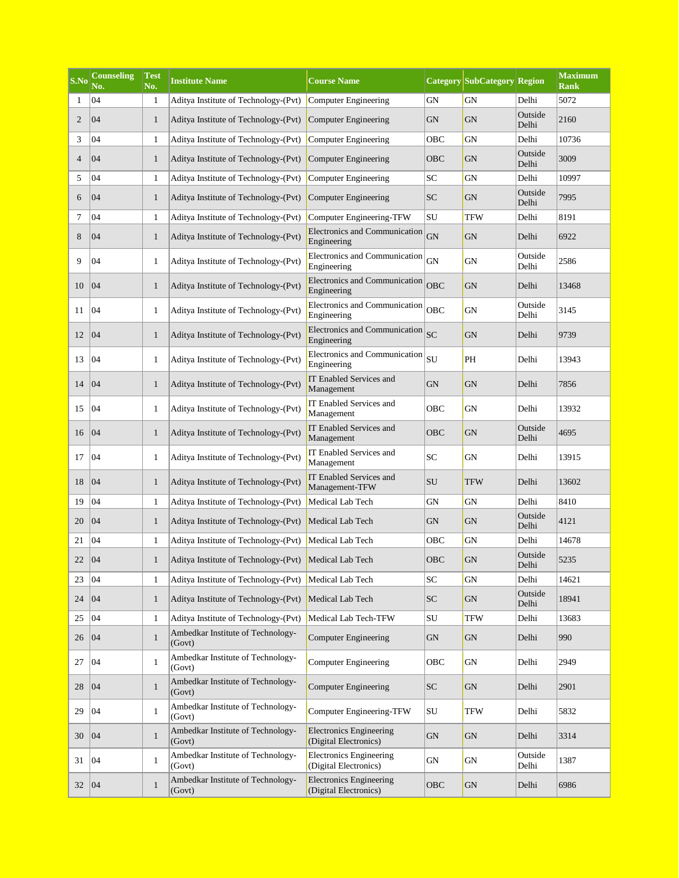| S.No           | <b>Counseling</b><br>No. | Test<br>No.  | <b>Institute Name</b>                       | <b>Course Name</b>                                      |            | <b>Category SubCategory Region</b> |                  | <b>Maximum</b><br><b>Rank</b> |
|----------------|--------------------------|--------------|---------------------------------------------|---------------------------------------------------------|------------|------------------------------------|------------------|-------------------------------|
| 1              | 04                       | $\mathbf{1}$ | Aditya Institute of Technology-(Pvt)        | Computer Engineering                                    | <b>GN</b>  | GN                                 | Delhi            | 5072                          |
| $\overline{2}$ | 04                       | $\mathbf{1}$ | Aditya Institute of Technology-(Pvt)        | Computer Engineering                                    | <b>GN</b>  | <b>GN</b>                          | Outside<br>Delhi | 2160                          |
| 3              | 04                       | $\mathbf{1}$ | Aditya Institute of Technology-(Pvt)        | Computer Engineering                                    | OBC        | GN                                 | Delhi            | 10736                         |
| $\overline{4}$ | 04                       | $\mathbf{1}$ | Aditya Institute of Technology-(Pvt)        | Computer Engineering                                    | OBC        | <b>GN</b>                          | Outside<br>Delhi | 3009                          |
| 5              | 04                       | $\mathbf{1}$ | Aditya Institute of Technology-(Pvt)        | Computer Engineering                                    | SC         | <b>GN</b>                          | Delhi            | 10997                         |
| 6              | 04                       | $\mathbf{1}$ | Aditya Institute of Technology-(Pvt)        | Computer Engineering                                    | <b>SC</b>  | GN                                 | Outside<br>Delhi | 7995                          |
| 7              | 04                       | $\mathbf{1}$ | Aditya Institute of Technology-(Pvt)        | Computer Engineering-TFW                                | SU         | TFW                                | Delhi            | 8191                          |
| 8              | 04                       | $\mathbf{1}$ | Aditya Institute of Technology-(Pvt)        | Electronics and Communication<br>Engineering            | <b>GN</b>  | <b>GN</b>                          | Delhi            | 6922                          |
| 9              | 04                       | $\mathbf{1}$ | Aditya Institute of Technology-(Pvt)        | Electronics and Communication<br>Engineering            | GN         | GN                                 | Outside<br>Delhi | 2586                          |
| 10             | 04                       | $\mathbf{1}$ | Aditya Institute of Technology-(Pvt)        | Electronics and Communication<br>Engineering            | OBC        | <b>GN</b>                          | Delhi            | 13468                         |
| 11             | 04                       | $\mathbf{1}$ | Aditya Institute of Technology-(Pvt)        | Electronics and Communication<br>Engineering            | OBC        | GN                                 | Outside<br>Delhi | 3145                          |
| 12             | 04                       | $\mathbf{1}$ | Aditya Institute of Technology-(Pvt)        | Electronics and Communication<br>Engineering            | SC         | <b>GN</b>                          | Delhi            | 9739                          |
| 13             | 04                       | $\mathbf{1}$ | Aditya Institute of Technology-(Pvt)        | Electronics and Communication<br>Engineering            | SU         | PH                                 | Delhi            | 13943                         |
| 14             | 04                       | $\mathbf{1}$ | Aditya Institute of Technology-(Pvt)        | IT Enabled Services and<br>Management                   | ${\rm GN}$ | <b>GN</b>                          | Delhi            | 7856                          |
| 15             | 04                       | $\mathbf{1}$ | Aditya Institute of Technology-(Pvt)        | IT Enabled Services and<br>Management                   | OBC        | <b>GN</b>                          | Delhi            | 13932                         |
| 16             | 04                       | $\mathbf{1}$ | Aditya Institute of Technology-(Pvt)        | IT Enabled Services and<br>Management                   | OBC        | <b>GN</b>                          | Outside<br>Delhi | 4695                          |
| 17             | 04                       | $\mathbf{1}$ | Aditya Institute of Technology-(Pvt)        | IT Enabled Services and<br>Management                   | SC         | <b>GN</b>                          | Delhi            | 13915                         |
| 18             | 04                       | $\mathbf{1}$ | Aditya Institute of Technology-(Pvt)        | IT Enabled Services and<br>Management-TFW               | SU         | <b>TFW</b>                         | Delhi            | 13602                         |
| 19             | 04                       | $\mathbf{1}$ | Aditya Institute of Technology-(Pvt)        | Medical Lab Tech                                        | GN         | GN                                 | Delhi            | 8410                          |
| 20             | 04                       | $\mathbf{1}$ | Aditya Institute of Technology-(Pvt)        | Medical Lab Tech                                        | <b>GN</b>  | <b>GN</b>                          | Outside<br>Delhi | 4121                          |
| 21             | 04                       | $\mathbf{1}$ | Aditya Institute of Technology-(Pvt)        | Medical Lab Tech                                        | OBC        | GN                                 | Delhi            | 14678                         |
| 22             | 04                       | $\mathbf{1}$ | Aditya Institute of Technology-(Pvt)        | Medical Lab Tech                                        | OBC        | ${\rm GN}$                         | Outside<br>Delhi | 5235                          |
| 23             | 04                       | $\mathbf{1}$ | Aditya Institute of Technology-(Pvt)        | Medical Lab Tech                                        | SC         | GN                                 | Delhi            | 14621                         |
| 24             | 04                       | $\mathbf{1}$ | Aditya Institute of Technology-(Pvt)        | Medical Lab Tech                                        | SC         | GN                                 | Outside<br>Delhi | 18941                         |
| 25             | 04                       | $\mathbf{1}$ | Aditya Institute of Technology-(Pvt)        | Medical Lab Tech-TFW                                    | SU         | TFW                                | Delhi            | 13683                         |
| 26             | 04                       | $\mathbf{1}$ | Ambedkar Institute of Technology-<br>(Govt) | <b>Computer Engineering</b>                             | ${\rm GN}$ | <b>GN</b>                          | Delhi            | 990                           |
| 27             | 04                       | $\mathbf{1}$ | Ambedkar Institute of Technology-<br>(Govt) | <b>Computer Engineering</b>                             | OBC        | GN                                 | Delhi            | 2949                          |
| 28             | 04                       | $\mathbf{1}$ | Ambedkar Institute of Technology-<br>(Govt) | <b>Computer Engineering</b>                             | <b>SC</b>  | GN                                 | Delhi            | 2901                          |
| 29             | 04                       | $\mathbf{1}$ | Ambedkar Institute of Technology-<br>(Govt) | Computer Engineering-TFW                                | ${\rm SU}$ | <b>TFW</b>                         | Delhi            | 5832                          |
| 30             | 04                       | $\mathbf{1}$ | Ambedkar Institute of Technology-<br>(Govt) | <b>Electronics Engineering</b><br>(Digital Electronics) | ${\rm GN}$ | GN                                 | Delhi            | 3314                          |
| 31             | 04                       | $\mathbf{1}$ | Ambedkar Institute of Technology-<br>(Govt) | <b>Electronics Engineering</b><br>(Digital Electronics) | GN         | GN                                 | Outside<br>Delhi | 1387                          |
| 32             | 04                       | $\mathbf{1}$ | Ambedkar Institute of Technology-<br>(Govt) | <b>Electronics Engineering</b><br>(Digital Electronics) | OBC        | GN                                 | Delhi            | 6986                          |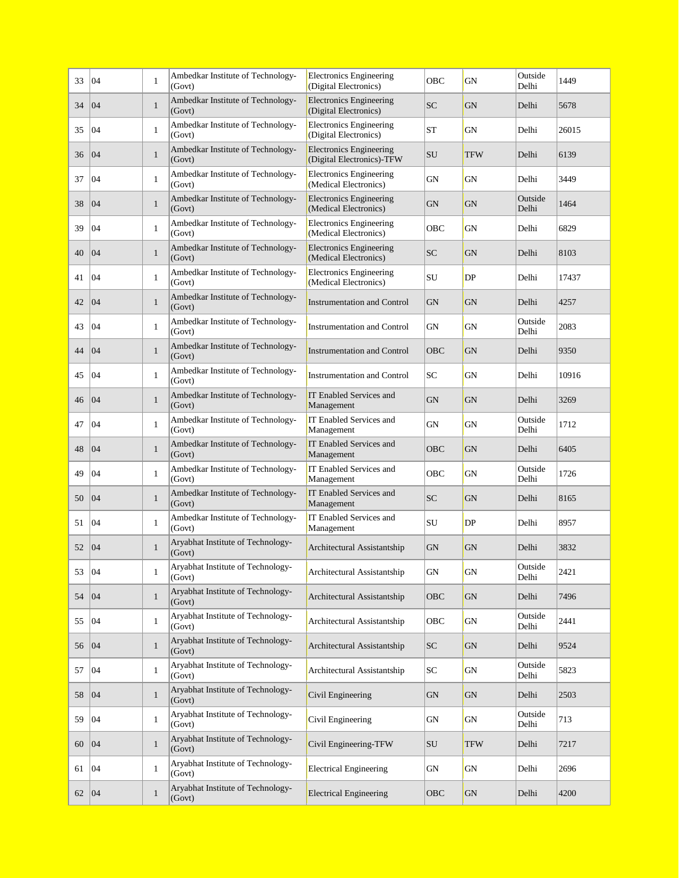| 33 | 04 | $\mathbf{1}$ | Ambedkar Institute of Technology-<br>(Govt) | <b>Electronics Engineering</b><br>(Digital Electronics)     | OBC        | GN         | Outside<br>Delhi | 1449  |
|----|----|--------------|---------------------------------------------|-------------------------------------------------------------|------------|------------|------------------|-------|
| 34 | 04 | $\mathbf{1}$ | Ambedkar Institute of Technology-<br>(Govt) | <b>Electronics Engineering</b><br>(Digital Electronics)     | <b>SC</b>  | <b>GN</b>  | Delhi            | 5678  |
| 35 | 04 | $\mathbf{1}$ | Ambedkar Institute of Technology-<br>(Govt) | <b>Electronics Engineering</b><br>(Digital Electronics)     | <b>ST</b>  | <b>GN</b>  | Delhi            | 26015 |
| 36 | 04 | $\mathbf{1}$ | Ambedkar Institute of Technology-<br>(Govt) | <b>Electronics Engineering</b><br>(Digital Electronics)-TFW | SU         | <b>TFW</b> | Delhi            | 6139  |
| 37 | 04 | $\mathbf{1}$ | Ambedkar Institute of Technology-<br>(Govt) | <b>Electronics Engineering</b><br>(Medical Electronics)     | <b>GN</b>  | <b>GN</b>  | Delhi            | 3449  |
| 38 | 04 | $\mathbf{1}$ | Ambedkar Institute of Technology-<br>(Govt) | <b>Electronics Engineering</b><br>(Medical Electronics)     | <b>GN</b>  | <b>GN</b>  | Outside<br>Delhi | 1464  |
| 39 | 04 | $\mathbf{1}$ | Ambedkar Institute of Technology-<br>(Govt) | <b>Electronics Engineering</b><br>(Medical Electronics)     | OBC        | GN         | Delhi            | 6829  |
| 40 | 04 | $\mathbf{1}$ | Ambedkar Institute of Technology-<br>(Govt) | <b>Electronics Engineering</b><br>(Medical Electronics)     | <b>SC</b>  | <b>GN</b>  | Delhi            | 8103  |
| 41 | 04 | $\mathbf{1}$ | Ambedkar Institute of Technology-<br>(Govt) | <b>Electronics Engineering</b><br>(Medical Electronics)     | SU         | DP         | Delhi            | 17437 |
| 42 | 04 | $\mathbf{1}$ | Ambedkar Institute of Technology-<br>(Govt) | <b>Instrumentation and Control</b>                          | <b>GN</b>  | <b>GN</b>  | Delhi            | 4257  |
| 43 | 04 | $\mathbf{1}$ | Ambedkar Institute of Technology-<br>(Govt) | <b>Instrumentation and Control</b>                          | GN         | GN         | Outside<br>Delhi | 2083  |
| 44 | 04 | $\mathbf{1}$ | Ambedkar Institute of Technology-<br>(Govt) | <b>Instrumentation and Control</b>                          | OBC        | <b>GN</b>  | Delhi            | 9350  |
| 45 | 04 | $\mathbf{1}$ | Ambedkar Institute of Technology-<br>(Govt) | <b>Instrumentation and Control</b>                          | SC         | <b>GN</b>  | Delhi            | 10916 |
| 46 | 04 | $\mathbf{1}$ | Ambedkar Institute of Technology-<br>(Govt) | IT Enabled Services and<br>Management                       | <b>GN</b>  | <b>GN</b>  | Delhi            | 3269  |
| 47 | 04 | $\mathbf{1}$ | Ambedkar Institute of Technology-<br>(Govt) | IT Enabled Services and<br>Management                       | <b>GN</b>  | <b>GN</b>  | Outside<br>Delhi | 1712  |
| 48 | 04 | $\mathbf{1}$ | Ambedkar Institute of Technology-<br>(Govt) | IT Enabled Services and<br>Management                       | OBC        | <b>GN</b>  | Delhi            | 6405  |
| 49 | 04 | $\mathbf{1}$ | Ambedkar Institute of Technology-<br>(Govt) | IT Enabled Services and<br>Management                       | OBC        | GN         | Outside<br>Delhi | 1726  |
| 50 | 04 | $\mathbf{1}$ | Ambedkar Institute of Technology-<br>(Govt) | IT Enabled Services and<br>Management                       | <b>SC</b>  | <b>GN</b>  | Delhi            | 8165  |
| 51 | 04 | $\mathbf{1}$ | Ambedkar Institute of Technology-<br>(Govt) | IT Enabled Services and<br>Management                       | SU         | DP         | Delhi            | 8957  |
| 52 | 04 | $\mathbf{1}$ | Aryabhat Institute of Technology-<br>(Govt) | Architectural Assistantship                                 | GN         | <b>GN</b>  | Delhi            | 3832  |
| 53 | 04 | $\mathbf{1}$ | Aryabhat Institute of Technology-<br>(Govt) | Architectural Assistantship                                 | ${\rm GN}$ | GN         | Outside<br>Delhi | 2421  |
| 54 | 04 | $\mathbf{1}$ | Aryabhat Institute of Technology-<br>(Govt) | Architectural Assistantship                                 | OBC        | <b>GN</b>  | Delhi            | 7496  |
| 55 | 04 | $\mathbf{1}$ | Aryabhat Institute of Technology-<br>(Govt) | Architectural Assistantship                                 | OBC        | GN         | Outside<br>Delhi | 2441  |
| 56 | 04 | $\mathbf{1}$ | Aryabhat Institute of Technology-<br>(Govt) | Architectural Assistantship                                 | <b>SC</b>  | GN         | Delhi            | 9524  |
| 57 | 04 | $\mathbf{1}$ | Aryabhat Institute of Technology-<br>(Govt) | Architectural Assistantship                                 | ${\rm SC}$ | GN         | Outside<br>Delhi | 5823  |
| 58 | 04 | $\mathbf{1}$ | Aryabhat Institute of Technology-<br>(Govt) | Civil Engineering                                           | ${\rm GN}$ | ${\rm GN}$ | Delhi            | 2503  |
| 59 | 04 | $\mathbf{1}$ | Aryabhat Institute of Technology-<br>(Govt) | Civil Engineering                                           | GN         | GN         | Outside<br>Delhi | 713   |
| 60 | 04 | $\mathbf{1}$ | Aryabhat Institute of Technology-<br>(Govt) | Civil Engineering-TFW                                       | SU         | TFW        | Delhi            | 7217  |
| 61 | 04 | $\mathbf{1}$ | Aryabhat Institute of Technology-<br>(Govt) | <b>Electrical Engineering</b>                               | GN         | GN         | Delhi            | 2696  |
| 62 | 04 | $\mathbf{1}$ | Aryabhat Institute of Technology-<br>(Govt) | <b>Electrical Engineering</b>                               | OBC        | <b>GN</b>  | Delhi            | 4200  |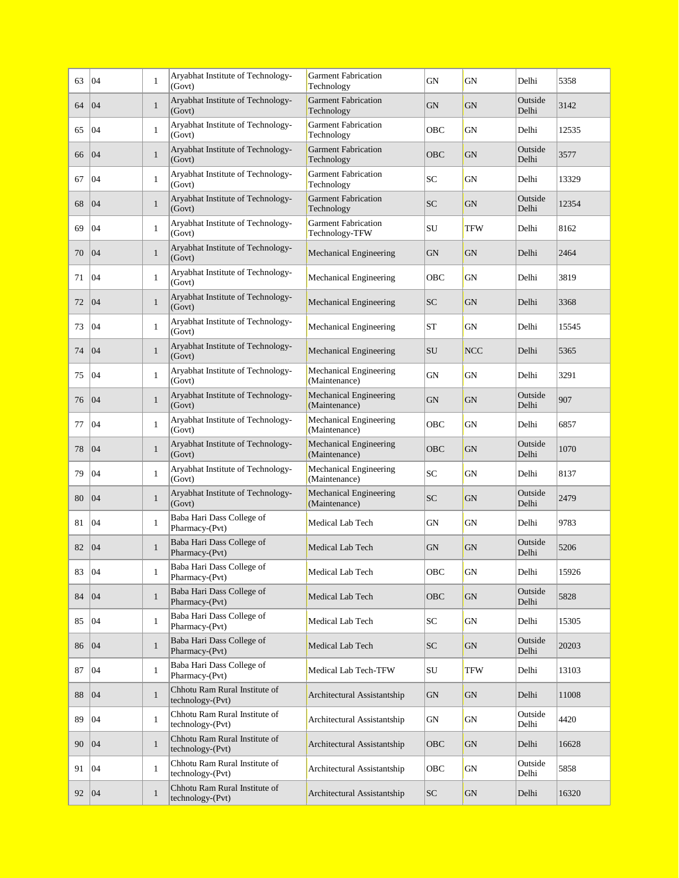| 63 | 04 | $\mathbf{1}$ | Aryabhat Institute of Technology-<br>(Govt)       | <b>Garment Fabrication</b><br>Technology       | GN         | GN         | Delhi            | 5358  |
|----|----|--------------|---------------------------------------------------|------------------------------------------------|------------|------------|------------------|-------|
| 64 | 04 | $\mathbf{1}$ | Aryabhat Institute of Technology-<br>(Govt)       | <b>Garment Fabrication</b><br>Technology       | GN         | GN         | Outside<br>Delhi | 3142  |
| 65 | 04 | $\mathbf{1}$ | Aryabhat Institute of Technology-<br>(Govt)       | <b>Garment Fabrication</b><br>Technology       | OBC        | GN         | Delhi            | 12535 |
| 66 | 04 | $\mathbf{1}$ | Aryabhat Institute of Technology-<br>(Govt)       | <b>Garment Fabrication</b><br>Technology       | OBC        | GN         | Outside<br>Delhi | 3577  |
| 67 | 04 | $\mathbf{1}$ | Aryabhat Institute of Technology-<br>(Govt)       | <b>Garment Fabrication</b><br>Technology       | SC         | GN         | Delhi            | 13329 |
| 68 | 04 | $\mathbf{1}$ | Aryabhat Institute of Technology-<br>(Govt)       | <b>Garment Fabrication</b><br>Technology       | <b>SC</b>  | <b>GN</b>  | Outside<br>Delhi | 12354 |
| 69 | 04 | $\mathbf{1}$ | Aryabhat Institute of Technology-<br>(Govt)       | <b>Garment Fabrication</b><br>Technology-TFW   | SU         | TFW        | Delhi            | 8162  |
| 70 | 04 | $\mathbf{1}$ | Aryabhat Institute of Technology-<br>(Govt)       | Mechanical Engineering                         | <b>GN</b>  | <b>GN</b>  | Delhi            | 2464  |
| 71 | 04 | $\mathbf{1}$ | Aryabhat Institute of Technology-<br>(Govt)       | Mechanical Engineering                         | OBC        | GN         | Delhi            | 3819  |
| 72 | 04 | $\mathbf{1}$ | Aryabhat Institute of Technology-<br>(Govt)       | Mechanical Engineering                         | SC         | GN         | Delhi            | 3368  |
| 73 | 04 | $\mathbf{1}$ | Aryabhat Institute of Technology-<br>(Govt)       | Mechanical Engineering                         | <b>ST</b>  | GN         | Delhi            | 15545 |
| 74 | 04 | $\mathbf{1}$ | Aryabhat Institute of Technology-<br>(Govt)       | Mechanical Engineering                         | SU         | <b>NCC</b> | Delhi            | 5365  |
| 75 | 04 | $\mathbf{1}$ | Aryabhat Institute of Technology-<br>(Govt)       | Mechanical Engineering<br>(Maintenance)        | GN         | GN         | Delhi            | 3291  |
| 76 | 04 | $\mathbf{1}$ | Aryabhat Institute of Technology-<br>(Govt)       | <b>Mechanical Engineering</b><br>(Maintenance) | GN         | GN         | Outside<br>Delhi | 907   |
| 77 | 04 | $\mathbf{1}$ | Aryabhat Institute of Technology-<br>(Govt)       | Mechanical Engineering<br>(Maintenance)        | OBC        | GN         | Delhi            | 6857  |
| 78 | 04 | $\mathbf{1}$ | Aryabhat Institute of Technology-<br>(Govt)       | <b>Mechanical Engineering</b><br>(Maintenance) | OBC        | <b>GN</b>  | Outside<br>Delhi | 1070  |
| 79 | 04 | $\mathbf{1}$ | Aryabhat Institute of Technology-<br>(Govt)       | Mechanical Engineering<br>(Maintenance)        | SC         | GN         | Delhi            | 8137  |
| 80 | 04 | $\mathbf{1}$ | Aryabhat Institute of Technology-<br>(Govt)       | Mechanical Engineering<br>(Maintenance)        | <b>SC</b>  | GN         | Outside<br>Delhi | 2479  |
| 81 | 04 | $\mathbf{1}$ | Baba Hari Dass College of<br>Pharmacy-(Pvt)       | Medical Lab Tech                               | GN         | GN         | Delhi            | 9783  |
| 82 | 04 | $\mathbf{1}$ | Baba Hari Dass College of<br>Pharmacy-(Pvt)       | Medical Lab Tech                               | GN         | GN         | Outside<br>Delhi | 5206  |
| 83 | 04 | $\mathbf{1}$ | Baba Hari Dass College of<br>Pharmacy-(Pvt)       | Medical Lab Tech                               | OBC        | GN         | Delhi            | 15926 |
| 84 | 04 | $\mathbf{1}$ | Baba Hari Dass College of<br>Pharmacy-(Pvt)       | Medical Lab Tech                               | OBC        | <b>GN</b>  | Outside<br>Delhi | 5828  |
| 85 | 04 | $\mathbf{1}$ | Baba Hari Dass College of<br>Pharmacy-(Pvt)       | Medical Lab Tech                               | SC         | GN         | Delhi            | 15305 |
| 86 | 04 | $\mathbf{1}$ | Baba Hari Dass College of<br>Pharmacy-(Pvt)       | Medical Lab Tech                               | <b>SC</b>  | GN         | Outside<br>Delhi | 20203 |
| 87 | 04 | $\mathbf{1}$ | Baba Hari Dass College of<br>Pharmacy-(Pvt)       | Medical Lab Tech-TFW                           | ${\rm SU}$ | TFW        | Delhi            | 13103 |
| 88 | 04 | $\mathbf{1}$ | Chhotu Ram Rural Institute of<br>technology-(Pvt) | Architectural Assistantship                    | GN         | GN         | Delhi            | 11008 |
| 89 | 04 | $\mathbf{1}$ | Chhotu Ram Rural Institute of<br>technology-(Pvt) | Architectural Assistantship                    | ${\rm GN}$ | GN         | Outside<br>Delhi | 4420  |
| 90 | 04 | $\mathbf{1}$ | Chhotu Ram Rural Institute of<br>technology-(Pvt) | Architectural Assistantship                    | OBC        | GN         | Delhi            | 16628 |
| 91 | 04 | $\mathbf{1}$ | Chhotu Ram Rural Institute of<br>technology-(Pvt) | Architectural Assistantship                    | OBC        | GN         | Outside<br>Delhi | 5858  |
| 92 | 04 | $\mathbf{1}$ | Chhotu Ram Rural Institute of<br>technology-(Pvt) | Architectural Assistantship                    | <b>SC</b>  | GN         | Delhi            | 16320 |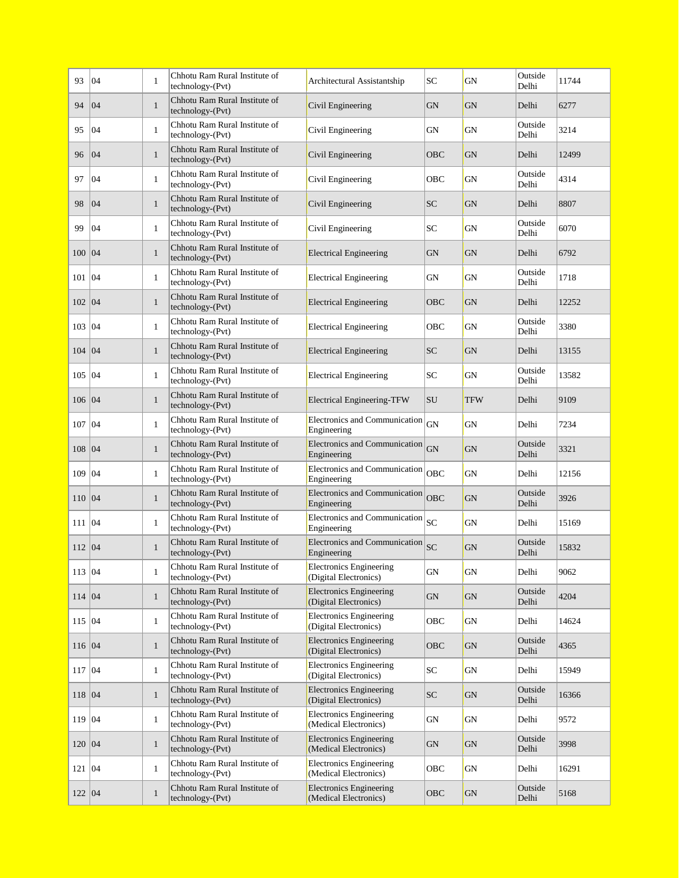| 93     | 04 | $\mathbf{1}$ | Chhotu Ram Rural Institute of<br>technology-(Pvt)   | Architectural Assistantship                             | SC           | GN         | Outside<br>Delhi | 11744 |
|--------|----|--------------|-----------------------------------------------------|---------------------------------------------------------|--------------|------------|------------------|-------|
| 94     | 04 | $\mathbf{1}$ | Chhotu Ram Rural Institute of<br>technology-(Pvt)   | Civil Engineering                                       | <b>GN</b>    | <b>GN</b>  | Delhi            | 6277  |
| 95     | 04 | $\mathbf{1}$ | Chhotu Ram Rural Institute of<br>technology-(Pvt)   | Civil Engineering                                       | GN           | GN         | Outside<br>Delhi | 3214  |
| 96     | 04 | $\mathbf{1}$ | Chhotu Ram Rural Institute of<br>technology-(Pvt)   | Civil Engineering                                       | OBC          | <b>GN</b>  | Delhi            | 12499 |
| 97     | 04 | $\mathbf{1}$ | Chhotu Ram Rural Institute of<br>technology-(Pvt)   | Civil Engineering                                       | OBC          | GN         | Outside<br>Delhi | 4314  |
| 98     | 04 | $\mathbf{1}$ | Chhotu Ram Rural Institute of<br>technology-(Pvt)   | Civil Engineering                                       | SC           | <b>GN</b>  | Delhi            | 8807  |
| 99     | 04 | $\mathbf{1}$ | Chhotu Ram Rural Institute of<br>technology-(Pvt)   | Civil Engineering                                       | SC           | GN         | Outside<br>Delhi | 6070  |
| 100 04 |    | $\mathbf{1}$ | Chhotu Ram Rural Institute of<br>technology-(Pvt)   | <b>Electrical Engineering</b>                           | <b>GN</b>    | <b>GN</b>  | Delhi            | 6792  |
| 101    | 04 | $\mathbf{1}$ | Chhotu Ram Rural Institute of<br>technology-(Pvt)   | <b>Electrical Engineering</b>                           | GN           | GN         | Outside<br>Delhi | 1718  |
| 102 04 |    | $\mathbf{1}$ | Chhotu Ram Rural Institute of<br>technology-(Pvt)   | <b>Electrical Engineering</b>                           | OBC          | <b>GN</b>  | Delhi            | 12252 |
| 103    | 04 | $\mathbf{1}$ | Chhotu Ram Rural Institute of<br>technology-(Pvt)   | <b>Electrical Engineering</b>                           | OBC          | GN         | Outside<br>Delhi | 3380  |
| 104    | 04 | $\mathbf{1}$ | Chhotu Ram Rural Institute of<br>technology-(Pvt)   | <b>Electrical Engineering</b>                           | <b>SC</b>    | <b>GN</b>  | Delhi            | 13155 |
| 105    | 04 | $\mathbf{1}$ | Chhotu Ram Rural Institute of<br>$technology-(Pvt)$ | <b>Electrical Engineering</b>                           | SC           | GN         | Outside<br>Delhi | 13582 |
| 106 04 |    | $\mathbf{1}$ | Chhotu Ram Rural Institute of<br>technology-(Pvt)   | <b>Electrical Engineering-TFW</b>                       | SU           | <b>TFW</b> | Delhi            | 9109  |
| 107    | 04 | $\mathbf{1}$ | Chhotu Ram Rural Institute of<br>technology-(Pvt)   | Electronics and Communication<br>Engineering            | GN           | <b>GN</b>  | Delhi            | 7234  |
| 108    | 04 | $\mathbf{1}$ | Chhotu Ram Rural Institute of<br>technology-(Pvt)   | Electronics and Communication<br>Engineering            | ${\rm GN}$   | <b>GN</b>  | Outside<br>Delhi | 3321  |
| 109    | 04 | $\mathbf{1}$ | Chhotu Ram Rural Institute of<br>technology-(Pvt)   | Electronics and Communication<br>Engineering            | <b>OBC</b>   | GN         | Delhi            | 12156 |
| 110    | 04 | $\mathbf{1}$ | Chhotu Ram Rural Institute of<br>technology-(Pvt)   | Electronics and Communication<br>Engineering            | <b>OBC</b>   | <b>GN</b>  | Outside<br>Delhi | 3926  |
| 111    | 04 | $\mathbf{1}$ | Chhotu Ram Rural Institute of<br>technology-(Pvt)   | Electronics and Communication<br>Engineering            | $ _{\rm SC}$ | <b>GN</b>  | Delhi            | 15169 |
| 112 04 |    | $\mathbf{1}$ | Chhotu Ram Rural Institute of<br>$technology-(Pvt)$ | Electronics and Communication<br>Engineering            | SC           | <b>GN</b>  | Outside<br>Delhi | 15832 |
| 113 04 |    | $\mathbf{1}$ | Chhotu Ram Rural Institute of<br>technology-(Pvt)   | <b>Electronics Engineering</b><br>(Digital Electronics) | ${\rm GN}$   | GN         | Delhi            | 9062  |
| 114 04 |    | $\mathbf{1}$ | Chhotu Ram Rural Institute of<br>technology-(Pvt)   | <b>Electronics Engineering</b><br>(Digital Electronics) | ${\rm GN}$   | GN         | Outside<br>Delhi | 4204  |
| 115 04 |    | $\mathbf{1}$ | Chhotu Ram Rural Institute of<br>technology-(Pvt)   | <b>Electronics Engineering</b><br>(Digital Electronics) | OBC          | GN         | Delhi            | 14624 |
| 116 04 |    | $\mathbf{1}$ | Chhotu Ram Rural Institute of<br>technology-(Pvt)   | <b>Electronics Engineering</b><br>(Digital Electronics) | OBC          | GN         | Outside<br>Delhi | 4365  |
| 117 04 |    | $\mathbf{1}$ | Chhotu Ram Rural Institute of<br>technology-(Pvt)   | <b>Electronics Engineering</b><br>(Digital Electronics) | SC           | GN         | Delhi            | 15949 |
| 118 04 |    | $\mathbf{1}$ | Chhotu Ram Rural Institute of<br>technology-(Pvt)   | <b>Electronics Engineering</b><br>(Digital Electronics) | SC           | GN         | Outside<br>Delhi | 16366 |
| 119 04 |    | $\mathbf{1}$ | Chhotu Ram Rural Institute of<br>technology-(Pvt)   | <b>Electronics Engineering</b><br>(Medical Electronics) | ${\rm GN}$   | ${\rm GN}$ | Delhi            | 9572  |
| 120 04 |    | $\mathbf{1}$ | Chhotu Ram Rural Institute of<br>technology-(Pvt)   | <b>Electronics Engineering</b><br>(Medical Electronics) | GN           | <b>GN</b>  | Outside<br>Delhi | 3998  |
| 121 04 |    | $\mathbf{1}$ | Chhotu Ram Rural Institute of<br>technology-(Pvt)   | <b>Electronics Engineering</b><br>(Medical Electronics) | OBC          | GN         | Delhi            | 16291 |
| 122 04 |    | $\mathbf{1}$ | Chhotu Ram Rural Institute of<br>technology-(Pvt)   | <b>Electronics Engineering</b><br>(Medical Electronics) | OBC          | GN         | Outside<br>Delhi | 5168  |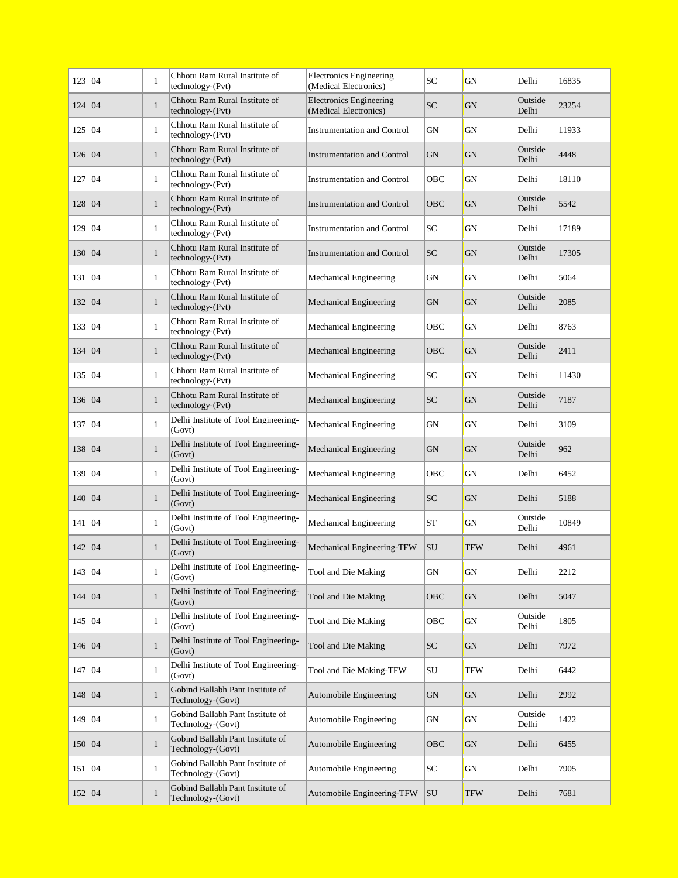| 123 04   |    | $\mathbf{1}$ | Chhotu Ram Rural Institute of<br>technology-(Pvt)     | <b>Electronics Engineering</b><br>(Medical Electronics) | <b>SC</b>  | GN         | Delhi            | 16835 |
|----------|----|--------------|-------------------------------------------------------|---------------------------------------------------------|------------|------------|------------------|-------|
| 124      | 04 | $\mathbf{1}$ | Chhotu Ram Rural Institute of<br>technology-(Pvt)     | <b>Electronics Engineering</b><br>(Medical Electronics) | <b>SC</b>  | <b>GN</b>  | Outside<br>Delhi | 23254 |
| 125      | 04 | $\mathbf{1}$ | Chhotu Ram Rural Institute of<br>technology-(Pvt)     | <b>Instrumentation and Control</b>                      | GN         | GN         | Delhi            | 11933 |
| 126 04   |    | $\mathbf{1}$ | Chhotu Ram Rural Institute of<br>technology-(Pvt)     | <b>Instrumentation and Control</b>                      | <b>GN</b>  | <b>GN</b>  | Outside<br>Delhi | 4448  |
| 127      | 04 | $\mathbf{1}$ | Chhotu Ram Rural Institute of<br>technology-(Pvt)     | <b>Instrumentation and Control</b>                      | OBC        | <b>GN</b>  | Delhi            | 18110 |
| 128      | 04 | $\mathbf{1}$ | Chhotu Ram Rural Institute of<br>technology-(Pvt)     | <b>Instrumentation and Control</b>                      | <b>OBC</b> | GN         | Outside<br>Delhi | 5542  |
| 129   04 |    | $\mathbf{1}$ | Chhotu Ram Rural Institute of<br>technology-(Pvt)     | <b>Instrumentation and Control</b>                      | <b>SC</b>  | <b>GN</b>  | Delhi            | 17189 |
| 130   04 |    | $\mathbf{1}$ | Chhotu Ram Rural Institute of<br>technology-(Pvt)     | <b>Instrumentation and Control</b>                      | SC.        | <b>GN</b>  | Outside<br>Delhi | 17305 |
| 131      | 04 | $\mathbf{1}$ | Chhotu Ram Rural Institute of<br>technology-(Pvt)     | Mechanical Engineering                                  | GN         | GN         | Delhi            | 5064  |
| 132 04   |    | $\mathbf{1}$ | Chhotu Ram Rural Institute of<br>technology-(Pvt)     | Mechanical Engineering                                  | GN         | GN         | Outside<br>Delhi | 2085  |
| 133      | 04 | $\mathbf{1}$ | Chhotu Ram Rural Institute of<br>technology-(Pvt)     | Mechanical Engineering                                  | OBC        | <b>GN</b>  | Delhi            | 8763  |
| 134      | 04 | $\mathbf{1}$ | Chhotu Ram Rural Institute of<br>technology-(Pvt)     | Mechanical Engineering                                  | OBC        | <b>GN</b>  | Outside<br>Delhi | 2411  |
| 135   04 |    | $\mathbf{1}$ | Chhotu Ram Rural Institute of<br>technology-(Pvt)     | Mechanical Engineering                                  | SС         | GN         | Delhi            | 11430 |
| 136 04   |    | $\mathbf{1}$ | Chhotu Ram Rural Institute of<br>technology-(Pvt)     | Mechanical Engineering                                  | <b>SC</b>  | GN         | Outside<br>Delhi | 7187  |
| 137      | 04 | $\mathbf{1}$ | Delhi Institute of Tool Engineering-<br>(Govt)        | Mechanical Engineering                                  | GN         | <b>GN</b>  | Delhi            | 3109  |
| 138      | 04 | $\mathbf{1}$ | Delhi Institute of Tool Engineering-<br>(Govt)        | Mechanical Engineering                                  | <b>GN</b>  | GN         | Outside<br>Delhi | 962   |
| 139      | 04 | $\mathbf{1}$ | Delhi Institute of Tool Engineering-<br>(Govt)        | Mechanical Engineering                                  | OBC        | GN         | Delhi            | 6452  |
| 140 04   |    | $\mathbf{1}$ | Delhi Institute of Tool Engineering-<br>(Govt)        | Mechanical Engineering                                  | SC         | <b>GN</b>  | Delhi            | 5188  |
| 141      | 04 | $\mathbf{1}$ | Delhi Institute of Tool Engineering-<br>(Govt)        | Mechanical Engineering                                  | <b>ST</b>  | GN         | Outside<br>Delhi | 10849 |
| 142 04   |    | $\mathbf{1}$ | Delhi Institute of Tool Engineering-<br>(Govt)        | Mechanical Engineering-TFW                              | <b>SU</b>  | <b>TFW</b> | Delhi            | 4961  |
| 143 04   |    | $\mathbf{1}$ | Delhi Institute of Tool Engineering-<br>(Govt)        | Tool and Die Making                                     | ${\rm GN}$ | GN         | Delhi            | 2212  |
| 144 04   |    | $\mathbf{1}$ | Delhi Institute of Tool Engineering-<br>(Govt)        | Tool and Die Making                                     | OBC        | GN         | Delhi            | 5047  |
| 145 04   |    | $\mathbf{1}$ | Delhi Institute of Tool Engineering-<br>(Govt)        | Tool and Die Making                                     | OBC        | GN         | Outside<br>Delhi | 1805  |
| 146 04   |    | $\mathbf{1}$ | Delhi Institute of Tool Engineering-<br>(Govt)        | Tool and Die Making                                     | <b>SC</b>  | <b>GN</b>  | Delhi            | 7972  |
| 147 04   |    | $\mathbf{1}$ | Delhi Institute of Tool Engineering-<br>(Govt)        | Tool and Die Making-TFW                                 | SU         | <b>TFW</b> | Delhi            | 6442  |
| 148   04 |    | $\mathbf{1}$ | Gobind Ballabh Pant Institute of<br>Technology-(Govt) | Automobile Engineering                                  | GN         | GN         | Delhi            | 2992  |
| 149 04   |    | $\mathbf{1}$ | Gobind Ballabh Pant Institute of<br>Technology-(Govt) | Automobile Engineering                                  | GN         | GN         | Outside<br>Delhi | 1422  |
| 150 04   |    | $\mathbf{1}$ | Gobind Ballabh Pant Institute of<br>Technology-(Govt) | Automobile Engineering                                  | OBC        | <b>GN</b>  | Delhi            | 6455  |
| 151 04   |    | $\mathbf{1}$ | Gobind Ballabh Pant Institute of<br>Technology-(Govt) | Automobile Engineering                                  | SC         | GN         | Delhi            | 7905  |
| 152 04   |    | $\mathbf{1}$ | Gobind Ballabh Pant Institute of<br>Technology-(Govt) | Automobile Engineering-TFW                              | SU         | <b>TFW</b> | Delhi            | 7681  |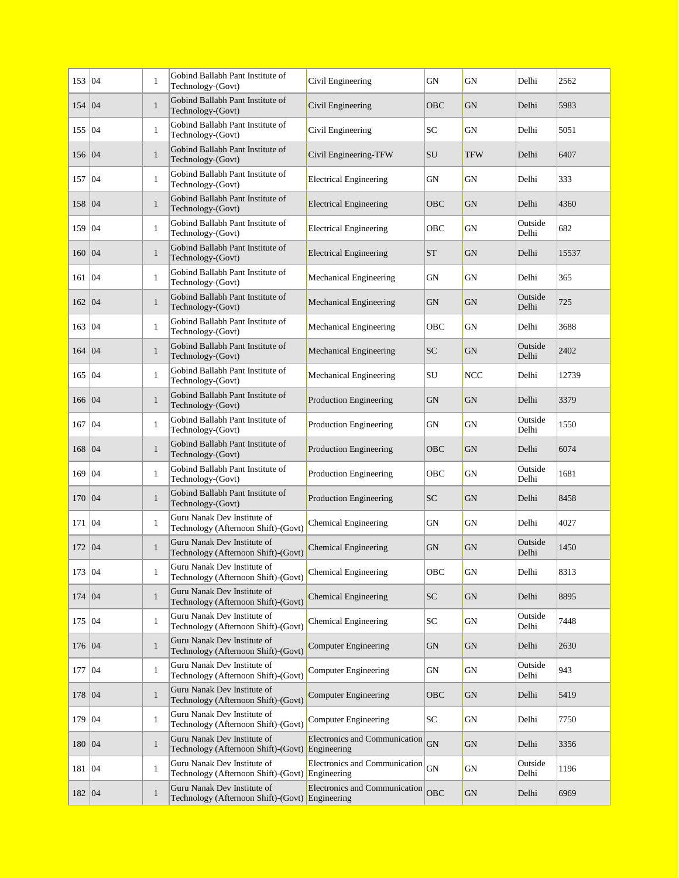| 153   04 |    | $\mathbf{1}$ | Gobind Ballabh Pant Institute of<br>Technology-(Govt)                          | Civil Engineering                            | <b>GN</b>   | GN         | Delhi            | 2562  |
|----------|----|--------------|--------------------------------------------------------------------------------|----------------------------------------------|-------------|------------|------------------|-------|
| 154 04   |    | $\mathbf{1}$ | Gobind Ballabh Pant Institute of<br>Technology-(Govt)                          | Civil Engineering                            | OBC         | <b>GN</b>  | Delhi            | 5983  |
| 155 04   |    | $\mathbf{1}$ | Gobind Ballabh Pant Institute of<br>Technology-(Govt)                          | Civil Engineering                            | SС          | GN         | Delhi            | 5051  |
| 156 04   |    | $\mathbf{1}$ | Gobind Ballabh Pant Institute of<br>Technology-(Govt)                          | Civil Engineering-TFW                        | SU          | <b>TFW</b> | Delhi            | 6407  |
| 157      | 04 | $\mathbf{1}$ | Gobind Ballabh Pant Institute of<br>Technology-(Govt)                          | <b>Electrical Engineering</b>                | <b>GN</b>   | <b>GN</b>  | Delhi            | 333   |
| 158      | 04 | $\mathbf{1}$ | Gobind Ballabh Pant Institute of<br>Technology-(Govt)                          | <b>Electrical Engineering</b>                | OBC         | <b>GN</b>  | Delhi            | 4360  |
| 159   04 |    | $\mathbf{1}$ | Gobind Ballabh Pant Institute of<br>Technology-(Govt)                          | <b>Electrical Engineering</b>                | OBC         | GN         | Outside<br>Delhi | 682   |
| 160 04   |    | $\mathbf{1}$ | Gobind Ballabh Pant Institute of<br>Technology-(Govt)                          | <b>Electrical Engineering</b>                | <b>ST</b>   | <b>GN</b>  | Delhi            | 15537 |
| 161      | 04 | $\mathbf{1}$ | Gobind Ballabh Pant Institute of<br>Technology-(Govt)                          | Mechanical Engineering                       | GN          | GN         | Delhi            | 365   |
| 162 04   |    | $\mathbf{1}$ | Gobind Ballabh Pant Institute of<br>Technology-(Govt)                          | Mechanical Engineering                       | GN          | <b>GN</b>  | Outside<br>Delhi | 725   |
| 163      | 04 | $\mathbf{1}$ | Gobind Ballabh Pant Institute of<br>Technology-(Govt)                          | Mechanical Engineering                       | OBC         | <b>GN</b>  | Delhi            | 3688  |
| 164      | 04 | $\mathbf{1}$ | Gobind Ballabh Pant Institute of<br>Technology-(Govt)                          | Mechanical Engineering                       | <b>SC</b>   | <b>GN</b>  | Outside<br>Delhi | 2402  |
| 165      | 04 | $\mathbf{1}$ | Gobind Ballabh Pant Institute of<br>Technology-(Govt)                          | Mechanical Engineering                       | SU          | <b>NCC</b> | Delhi            | 12739 |
| 166 04   |    | $\mathbf{1}$ | Gobind Ballabh Pant Institute of<br>Technology-(Govt)                          | Production Engineering                       | <b>GN</b>   | <b>GN</b>  | Delhi            | 3379  |
| 167      | 04 | $\mathbf{1}$ | Gobind Ballabh Pant Institute of<br>Technology-(Govt)                          | Production Engineering                       | <b>GN</b>   | GN         | Outside<br>Delhi | 1550  |
| 168      | 04 | $\mathbf{1}$ | Gobind Ballabh Pant Institute of<br>Technology-(Govt)                          | Production Engineering                       | OBC         | <b>GN</b>  | Delhi            | 6074  |
| 169   04 |    | $\mathbf{1}$ | Gobind Ballabh Pant Institute of<br>Technology-(Govt)                          | Production Engineering                       | OBC         | GN         | Outside<br>Delhi | 1681  |
| 170   04 |    | $\mathbf{1}$ | Gobind Ballabh Pant Institute of<br>Technology-(Govt)                          | Production Engineering                       | SC          | <b>GN</b>  | Delhi            | 8458  |
| 171      | 04 | $\mathbf{1}$ | Guru Nanak Dev Institute of<br>Technology (Afternoon Shift)-(Govt)             | Chemical Engineering                         | GN          | <b>GN</b>  | Delhi            | 4027  |
| 172 04   |    | $\mathbf{1}$ | Guru Nanak Dev Institute of<br>Technology (Afternoon Shift)-(Govt)             | <b>Chemical Engineering</b>                  | <b>GN</b>   | <b>GN</b>  | Outside<br>Delhi | 1450  |
| 173 04   |    | $\mathbf{1}$ | Guru Nanak Dev Institute of<br>Technology (Afternoon Shift)-(Govt)             | Chemical Engineering                         | ${\rm OBC}$ | GN         | Delhi            | 8313  |
| 174 04   |    | $\mathbf{1}$ | Guru Nanak Dev Institute of<br>Technology (Afternoon Shift)-(Govt)             | <b>Chemical Engineering</b>                  | SC          | GN         | Delhi            | 8895  |
| 175 04   |    | $\mathbf{1}$ | Guru Nanak Dev Institute of<br>Technology (Afternoon Shift)-(Govt)             | Chemical Engineering                         | SC          | GN         | Outside<br>Delhi | 7448  |
| 176 04   |    | $\mathbf{1}$ | Guru Nanak Dev Institute of<br>Technology (Afternoon Shift)-(Govt)             | Computer Engineering                         | <b>GN</b>   | <b>GN</b>  | Delhi            | 2630  |
| 177      | 04 | $\mathbf{1}$ | Guru Nanak Dev Institute of<br>Technology (Afternoon Shift)-(Govt)             | <b>Computer Engineering</b>                  | GN          | GN         | Outside<br>Delhi | 943   |
| 178      | 04 | $\mathbf{1}$ | Guru Nanak Dev Institute of<br>Technology (Afternoon Shift)-(Govt)             | <b>Computer Engineering</b>                  | OBC         | GN         | Delhi            | 5419  |
| 179   04 |    | $\mathbf{1}$ | Guru Nanak Dev Institute of<br>Technology (Afternoon Shift)-(Govt)             | Computer Engineering                         | SC          | <b>GN</b>  | Delhi            | 7750  |
| 180   04 |    | $\mathbf{1}$ | Guru Nanak Dev Institute of<br>Technology (Afternoon Shift)-(Govt)             | Electronics and Communication<br>Engineering | <b>GN</b>   | GN         | Delhi            | 3356  |
| 181 04   |    | $\mathbf{1}$ | Guru Nanak Dev Institute of<br>Technology (Afternoon Shift)-(Govt) Engineering | Electronics and Communication                | GN          | GN         | Outside<br>Delhi | 1196  |
| 182 04   |    | $\mathbf{1}$ | Guru Nanak Dev Institute of<br>Technology (Afternoon Shift)-(Govt) Engineering | Electronics and Communication                | OBC         | GN         | Delhi            | 6969  |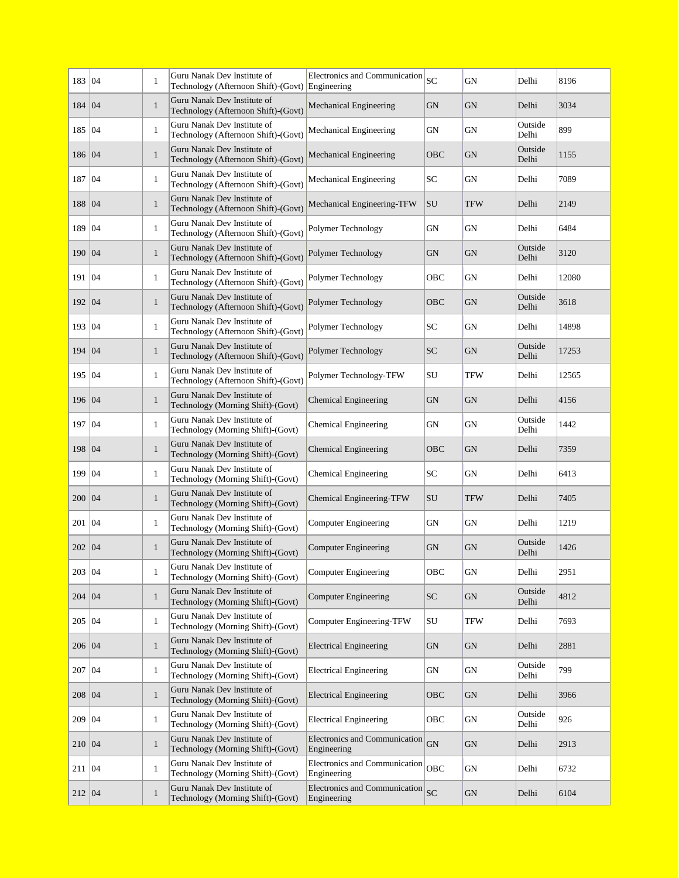| 183 04   |    | $\mathbf{1}$ | Guru Nanak Dev Institute of<br>Technology (Afternoon Shift)-(Govt) Engineering | Electronics and Communication                       | SC         | GN         | Delhi            | 8196  |
|----------|----|--------------|--------------------------------------------------------------------------------|-----------------------------------------------------|------------|------------|------------------|-------|
| 184      | 04 | $\mathbf{1}$ | Guru Nanak Dev Institute of<br>Technology (Afternoon Shift)-(Govt)             | Mechanical Engineering                              | ${\rm GN}$ | <b>GN</b>  | Delhi            | 3034  |
| 185      | 04 | $\mathbf{1}$ | Guru Nanak Dev Institute of<br>Technology (Afternoon Shift)-(Govt)             | Mechanical Engineering                              | GN         | GN         | Outside<br>Delhi | 899   |
| 186 04   |    | $\mathbf{1}$ | Guru Nanak Dev Institute of<br>Technology (Afternoon Shift)-(Govt)             | Mechanical Engineering                              | OBC        | <b>GN</b>  | Outside<br>Delhi | 1155  |
| 187      | 04 | $\mathbf{1}$ | Guru Nanak Dev Institute of<br>Technology (Afternoon Shift)-(Govt)             | Mechanical Engineering                              | SC         | GN         | Delhi            | 7089  |
| 188      | 04 | $\mathbf{1}$ | Guru Nanak Dev Institute of<br>Technology (Afternoon Shift)-(Govt)             | Mechanical Engineering-TFW                          | SU         | <b>TFW</b> | Delhi            | 2149  |
| 189   04 |    | $\mathbf{1}$ | Guru Nanak Dev Institute of<br>Technology (Afternoon Shift)-(Govt)             | Polymer Technology                                  | GN         | GN         | Delhi            | 6484  |
| 190 04   |    | $\mathbf{1}$ | Guru Nanak Dev Institute of<br>Technology (Afternoon Shift)-(Govt)             | Polymer Technology                                  | <b>GN</b>  | <b>GN</b>  | Outside<br>Delhi | 3120  |
| 191      | 04 | $\mathbf{1}$ | Guru Nanak Dev Institute of<br>Technology (Afternoon Shift)-(Govt)             | Polymer Technology                                  | OBC        | GN         | Delhi            | 12080 |
| 192      | 04 | $\mathbf{1}$ | Guru Nanak Dev Institute of<br>Technology (Afternoon Shift)-(Govt)             | Polymer Technology                                  | OBC        | <b>GN</b>  | Outside<br>Delhi | 3618  |
| 193      | 04 | $\mathbf{1}$ | Guru Nanak Dev Institute of<br>Technology (Afternoon Shift)-(Govt)             | Polymer Technology                                  | SC         | <b>GN</b>  | Delhi            | 14898 |
| 194      | 04 | $\mathbf{1}$ | Guru Nanak Dev Institute of<br>Technology (Afternoon Shift)-(Govt)             | Polymer Technology                                  | <b>SC</b>  | <b>GN</b>  | Outside<br>Delhi | 17253 |
| 195      | 04 | $\mathbf{1}$ | Guru Nanak Dev Institute of<br>Technology (Afternoon Shift)-(Govt)             | Polymer Technology-TFW                              | SU         | TFW        | Delhi            | 12565 |
| 196 04   |    | $\mathbf{1}$ | Guru Nanak Dev Institute of<br>Technology (Morning Shift)-(Govt)               | Chemical Engineering                                | <b>GN</b>  | <b>GN</b>  | Delhi            | 4156  |
| 197      | 04 | $\mathbf{1}$ | Guru Nanak Dev Institute of<br>Technology (Morning Shift)-(Govt)               | Chemical Engineering                                | ${\rm GN}$ | <b>GN</b>  | Outside<br>Delhi | 1442  |
| 198      | 04 | $\mathbf{1}$ | Guru Nanak Dev Institute of<br>Technology (Morning Shift)-(Govt)               | <b>Chemical Engineering</b>                         | OBC        | <b>GN</b>  | Delhi            | 7359  |
| 199      | 04 | $\mathbf{1}$ | Guru Nanak Dev Institute of<br>Technology (Morning Shift)-(Govt)               | Chemical Engineering                                | SC         | GN         | Delhi            | 6413  |
| 200 04   |    | $\mathbf{1}$ | Guru Nanak Dev Institute of<br>Technology (Morning Shift)-(Govt)               | Chemical Engineering-TFW                            | SU         | <b>TFW</b> | Delhi            | 7405  |
| 201      | 04 | $\mathbf{1}$ | Guru Nanak Dev Institute of<br>Technology (Morning Shift)-(Govt)               | Computer Engineering                                | GN         | GN         | Delhi            | 1219  |
| 202 04   |    | $\mathbf{1}$ | Guru Nanak Dev Institute of<br>Technology (Morning Shift)-(Govt)               | <b>Computer Engineering</b>                         | <b>GN</b>  | <b>GN</b>  | Outside<br>Delhi | 1426  |
| 203 04   |    | $\mathbf{1}$ | Guru Nanak Dev Institute of<br>Technology (Morning Shift)-(Govt)               | <b>Computer Engineering</b>                         | OBC        | GN         | Delhi            | 2951  |
| 204 04   |    | $\mathbf{1}$ | Guru Nanak Dev Institute of<br>Technology (Morning Shift)-(Govt)               | <b>Computer Engineering</b>                         | ${\rm SC}$ | GN         | Outside<br>Delhi | 4812  |
| 205 04   |    | $\mathbf{1}$ | Guru Nanak Dev Institute of<br>Technology (Morning Shift)-(Govt)               | Computer Engineering-TFW                            | ${\rm SU}$ | <b>TFW</b> | Delhi            | 7693  |
| 206 04   |    | $\mathbf{1}$ | Guru Nanak Dev Institute of<br>Technology (Morning Shift)-(Govt)               | <b>Electrical Engineering</b>                       | ${\rm GN}$ | GN         | Delhi            | 2881  |
| 207 04   |    | $\mathbf{1}$ | Guru Nanak Dev Institute of<br>Technology (Morning Shift)-(Govt)               | <b>Electrical Engineering</b>                       | GN         | GN         | Outside<br>Delhi | 799   |
| 208      | 04 | $\mathbf{1}$ | Guru Nanak Dev Institute of<br>Technology (Morning Shift)-(Govt)               | <b>Electrical Engineering</b>                       | <b>OBC</b> | GN         | Delhi            | 3966  |
| 209 04   |    | $\mathbf{1}$ | Guru Nanak Dev Institute of<br>Technology (Morning Shift)-(Govt)               | <b>Electrical Engineering</b>                       | OBC        | GN         | Outside<br>Delhi | 926   |
| 210 04   |    | $\mathbf{1}$ | Guru Nanak Dev Institute of<br>Technology (Morning Shift)-(Govt)               | Electronics and Communication<br>Engineering        | GN         | <b>GN</b>  | Delhi            | 2913  |
| 211 04   |    | $\mathbf{1}$ | Guru Nanak Dev Institute of<br>Technology (Morning Shift)-(Govt)               | Electronics and Communication<br>Engineering        | <b>OBC</b> | GN         | Delhi            | 6732  |
| 212 04   |    | $\mathbf{1}$ | Guru Nanak Dev Institute of<br>Technology (Morning Shift)-(Govt)               | <b>Electronics and Communication</b><br>Engineering | SC         | <b>GN</b>  | Delhi            | 6104  |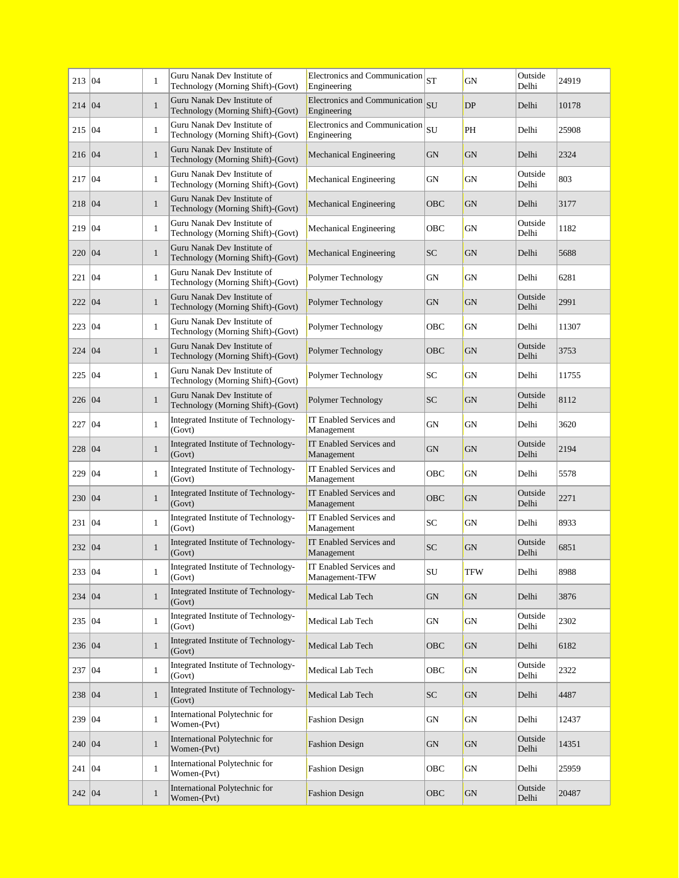| 213   04 |    | $\mathbf{1}$ | Guru Nanak Dev Institute of<br>Technology (Morning Shift)-(Govt) | Electronics and Communication $ _{ST}$<br>Engineering |              | GN         | Outside<br>Delhi | 24919 |
|----------|----|--------------|------------------------------------------------------------------|-------------------------------------------------------|--------------|------------|------------------|-------|
| 214 04   |    | $\mathbf{1}$ | Guru Nanak Dev Institute of<br>Technology (Morning Shift)-(Govt) | <b>Electronics and Communication</b><br>Engineering   | $ _{\rm SU}$ | <b>DP</b>  | Delhi            | 10178 |
| 215      | 04 | $\mathbf{1}$ | Guru Nanak Dev Institute of<br>Technology (Morning Shift)-(Govt) | Electronics and Communication<br>Engineering          | SU           | PH         | Delhi            | 25908 |
| 216 04   |    | $\mathbf{1}$ | Guru Nanak Dev Institute of<br>Technology (Morning Shift)-(Govt) | Mechanical Engineering                                | GN           | GN         | Delhi            | 2324  |
| 217      | 04 | $\mathbf{1}$ | Guru Nanak Dev Institute of<br>Technology (Morning Shift)-(Govt) | Mechanical Engineering                                | GN           | GN         | Outside<br>Delhi | 803   |
| 218      | 04 | $\mathbf{1}$ | Guru Nanak Dev Institute of<br>Technology (Morning Shift)-(Govt) | Mechanical Engineering                                | OBC          | <b>GN</b>  | Delhi            | 3177  |
| 219      | 04 | $\mathbf{1}$ | Guru Nanak Dev Institute of<br>Technology (Morning Shift)-(Govt) | Mechanical Engineering                                | OBC          | GN         | Outside<br>Delhi | 1182  |
| 220      | 04 | $\mathbf{1}$ | Guru Nanak Dev Institute of<br>Technology (Morning Shift)-(Govt) | Mechanical Engineering                                | <b>SC</b>    | <b>GN</b>  | Delhi            | 5688  |
| 221      | 04 | $\mathbf{1}$ | Guru Nanak Dev Institute of<br>Technology (Morning Shift)-(Govt) | Polymer Technology                                    | GN           | GN         | Delhi            | 6281  |
| 222      | 04 | $\mathbf{1}$ | Guru Nanak Dev Institute of<br>Technology (Morning Shift)-(Govt) | Polymer Technology                                    | GN           | GN         | Outside<br>Delhi | 2991  |
| 223      | 04 | $\mathbf{1}$ | Guru Nanak Dev Institute of<br>Technology (Morning Shift)-(Govt) | Polymer Technology                                    | OBC          | GN         | Delhi            | 11307 |
| 224      | 04 | $\mathbf{1}$ | Guru Nanak Dev Institute of<br>Technology (Morning Shift)-(Govt) | Polymer Technology                                    | OBC          | GN         | Outside<br>Delhi | 3753  |
| 225      | 04 | $\mathbf{1}$ | Guru Nanak Dev Institute of<br>Technology (Morning Shift)-(Govt) | Polymer Technology                                    | SC           | GN         | Delhi            | 11755 |
| 226      | 04 | $\mathbf{1}$ | Guru Nanak Dev Institute of<br>Technology (Morning Shift)-(Govt) | Polymer Technology                                    | <b>SC</b>    | <b>GN</b>  | Outside<br>Delhi | 8112  |
| 227      | 04 | $\mathbf{1}$ | Integrated Institute of Technology-<br>(Govt)                    | IT Enabled Services and<br>Management                 | GN           | GN         | Delhi            | 3620  |
| 228      | 04 | $\mathbf{1}$ | Integrated Institute of Technology-<br>(Govt)                    | IT Enabled Services and<br>Management                 | <b>GN</b>    | <b>GN</b>  | Outside<br>Delhi | 2194  |
| 229      | 04 | $\mathbf{1}$ | Integrated Institute of Technology-<br>(Govt)                    | IT Enabled Services and<br>Management                 | OBC          | GN         | Delhi            | 5578  |
| 230 04   |    | $\mathbf{1}$ | Integrated Institute of Technology-<br>(Govt)                    | IT Enabled Services and<br>Management                 | OBC          | GN         | Outside<br>Delhi | 2271  |
| 231      | 04 | $\mathbf{1}$ | Integrated Institute of Technology-<br>(Govt)                    | IT Enabled Services and<br>Management                 | SC           | GN         | Delhi            | 8933  |
| 232      | 04 | $\mathbf{1}$ | Integrated Institute of Technology-<br>(Govt)                    | IT Enabled Services and<br>Management                 | <b>SC</b>    | GN         | Outside<br>Delhi | 6851  |
| 233 04   |    | $\mathbf{1}$ | Integrated Institute of Technology-<br>(Govt)                    | <b>IT Enabled Services and</b><br>Management-TFW      | ${\bf SU}$   | <b>TFW</b> | Delhi            | 8988  |
| 234 04   |    | $\mathbf{1}$ | Integrated Institute of Technology-<br>(Govt)                    | Medical Lab Tech                                      | <b>GN</b>    | <b>GN</b>  | Delhi            | 3876  |
| 235 04   |    | $\mathbf{1}$ | Integrated Institute of Technology-<br>(Govt)                    | Medical Lab Tech                                      | GN           | GN         | Outside<br>Delhi | 2302  |
| 236 04   |    | $\mathbf{1}$ | Integrated Institute of Technology-<br>(Govt)                    | Medical Lab Tech                                      | OBC          | GN         | Delhi            | 6182  |
| 237 04   |    | $\mathbf{1}$ | Integrated Institute of Technology-<br>(Govt)                    | Medical Lab Tech                                      | OBC          | GN         | Outside<br>Delhi | 2322  |
| 238 04   |    | $\mathbf{1}$ | Integrated Institute of Technology-<br>(Govt)                    | Medical Lab Tech                                      | <b>SC</b>    | <b>GN</b>  | Delhi            | 4487  |
| 239   04 |    | $\mathbf{1}$ | International Polytechnic for<br>Women-(Pvt)                     | <b>Fashion Design</b>                                 | GN           | GN         | Delhi            | 12437 |
| 240   04 |    | $\mathbf{1}$ | International Polytechnic for<br>Women-(Pvt)                     | <b>Fashion Design</b>                                 | GN           | GN         | Outside<br>Delhi | 14351 |
| 241   04 |    | $\mathbf{1}$ | International Polytechnic for<br>Women-(Pvt)                     | <b>Fashion Design</b>                                 | ОВС          | GN         | Delhi            | 25959 |
| 242   04 |    | $\mathbf{1}$ | International Polytechnic for<br>Women-(Pvt)                     | <b>Fashion Design</b>                                 | OBC          | GN         | Outside<br>Delhi | 20487 |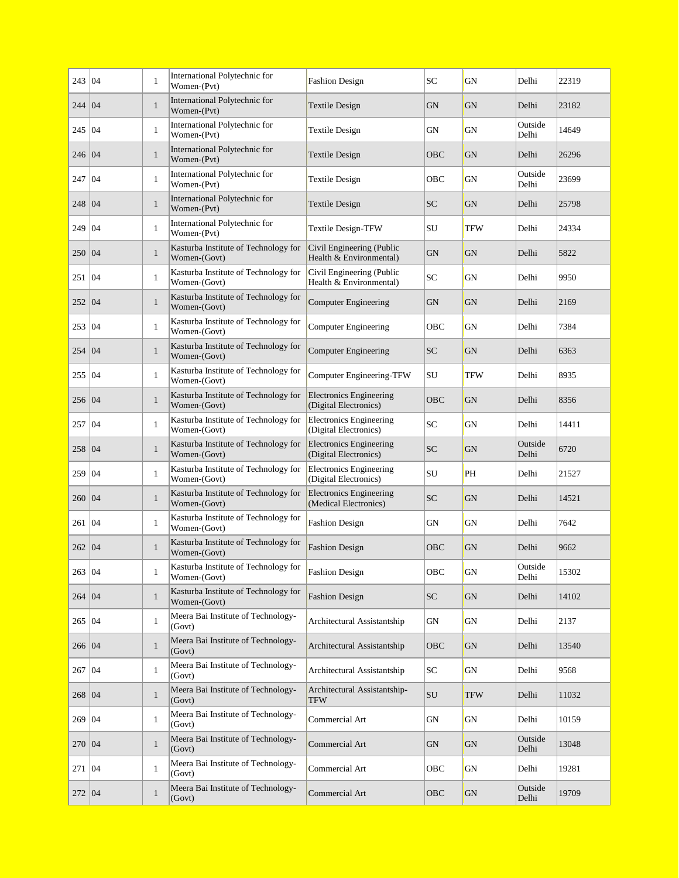| 243   04 |    | $\mathbf{1}$ | International Polytechnic for<br>Women-(Pvt)         | <b>Fashion Design</b>                                   | SC          | GN        | Delhi            | 22319 |
|----------|----|--------------|------------------------------------------------------|---------------------------------------------------------|-------------|-----------|------------------|-------|
| 244      | 04 | $\mathbf{1}$ | International Polytechnic for<br>Women-(Pvt)         | Textile Design                                          | <b>GN</b>   | <b>GN</b> | Delhi            | 23182 |
| 245   04 |    | $\mathbf{1}$ | International Polytechnic for<br>Women-(Pvt)         | Textile Design                                          | GN          | GN        | Outside<br>Delhi | 14649 |
| 246 04   |    | $\mathbf{1}$ | International Polytechnic for<br>Women-(Pvt)         | <b>Textile Design</b>                                   | OBC         | <b>GN</b> | Delhi            | 26296 |
| 247      | 04 | $\mathbf{1}$ | International Polytechnic for<br>Women-(Pvt)         | <b>Textile Design</b>                                   | OBC         | GN        | Outside<br>Delhi | 23699 |
| 248      | 04 | $\mathbf{1}$ | International Polytechnic for<br>Women-(Pvt)         | <b>Textile Design</b>                                   | <b>SC</b>   | <b>GN</b> | Delhi            | 25798 |
| 249   04 |    | $\mathbf{1}$ | International Polytechnic for<br>Women-(Pvt)         | <b>Textile Design-TFW</b>                               | SU          | TFW       | Delhi            | 24334 |
| 250 04   |    | $\mathbf{1}$ | Kasturba Institute of Technology for<br>Women-(Govt) | Civil Engineering (Public<br>Health & Environmental)    | GN          | <b>GN</b> | Delhi            | 5822  |
| 251      | 04 | $\mathbf{1}$ | Kasturba Institute of Technology for<br>Women-(Govt) | Civil Engineering (Public<br>Health & Environmental)    | SC          | GN        | Delhi            | 9950  |
| 252 04   |    | $\mathbf{1}$ | Kasturba Institute of Technology for<br>Women-(Govt) | <b>Computer Engineering</b>                             | GN          | <b>GN</b> | Delhi            | 2169  |
| 253      | 04 | $\mathbf{1}$ | Kasturba Institute of Technology for<br>Women-(Govt) | <b>Computer Engineering</b>                             | OBC         | GN        | Delhi            | 7384  |
| 254      | 04 | $\mathbf{1}$ | Kasturba Institute of Technology for<br>Women-(Govt) | Computer Engineering                                    | <b>SC</b>   | <b>GN</b> | Delhi            | 6363  |
| 255      | 04 | $\mathbf{1}$ | Kasturba Institute of Technology for<br>Women-(Govt) | Computer Engineering-TFW                                | SU          | TFW       | Delhi            | 8935  |
| 256 04   |    | $\mathbf{1}$ | Kasturba Institute of Technology for<br>Women-(Govt) | <b>Electronics Engineering</b><br>(Digital Electronics) | OBC         | <b>GN</b> | Delhi            | 8356  |
| 257      | 04 | $\mathbf{1}$ | Kasturba Institute of Technology for<br>Women-(Govt) | <b>Electronics Engineering</b><br>(Digital Electronics) | SC          | GN        | Delhi            | 14411 |
| 258      | 04 | $\mathbf{1}$ | Kasturba Institute of Technology for<br>Women-(Govt) | <b>Electronics Engineering</b><br>(Digital Electronics) | SC.         | GN        | Outside<br>Delhi | 6720  |
| 259      | 04 | $\mathbf{1}$ | Kasturba Institute of Technology for<br>Women-(Govt) | <b>Electronics Engineering</b><br>(Digital Electronics) | SU          | PH        | Delhi            | 21527 |
| 260      | 04 | $\mathbf{1}$ | Kasturba Institute of Technology for<br>Women-(Govt) | <b>Electronics Engineering</b><br>(Medical Electronics) | <b>SC</b>   | <b>GN</b> | Delhi            | 14521 |
| 261      | 04 | $\mathbf{1}$ | Kasturba Institute of Technology for<br>Women-(Govt) | <b>Fashion Design</b>                                   | GN          | GN        | Delhi            | 7642  |
| 262 04   |    | $\mathbf{1}$ | Kasturba Institute of Technology for<br>Women-(Govt) | <b>Fashion Design</b>                                   | OBC         | <b>GN</b> | Delhi            | 9662  |
| 263 04   |    | $\mathbf{1}$ | Kasturba Institute of Technology for<br>Women-(Govt) | <b>Fashion Design</b>                                   | ${\rm OBC}$ | GN        | Outside<br>Delhi | 15302 |
| 264 04   |    | $\mathbf{1}$ | Kasturba Institute of Technology for<br>Women-(Govt) | <b>Fashion Design</b>                                   | <b>SC</b>   | <b>GN</b> | Delhi            | 14102 |
| 265 04   |    | $\mathbf{1}$ | Meera Bai Institute of Technology-<br>(Govt)         | Architectural Assistantship                             | ${\rm GN}$  | <b>GN</b> | Delhi            | 2137  |
| 266 04   |    | $\mathbf{1}$ | Meera Bai Institute of Technology-<br>(Govt)         | Architectural Assistantship                             | OBC         | <b>GN</b> | Delhi            | 13540 |
| 267      | 04 | $\mathbf{1}$ | Meera Bai Institute of Technology-<br>(Govt)         | Architectural Assistantship                             | SC          | GN        | Delhi            | 9568  |
| 268 04   |    | $\mathbf{1}$ | Meera Bai Institute of Technology-<br>(Govt)         | Architectural Assistantship-<br>TFW                     | SU          | TFW       | Delhi            | 11032 |
| 269 04   |    | $\mathbf{1}$ | Meera Bai Institute of Technology-<br>(Govt)         | Commercial Art                                          | ${\rm GN}$  | <b>GN</b> | Delhi            | 10159 |
| 270 04   |    | $\mathbf{1}$ | Meera Bai Institute of Technology-<br>(Govt)         | Commercial Art                                          | ${\rm GN}$  | GN        | Outside<br>Delhi | 13048 |
| 271 04   |    | $\mathbf{1}$ | Meera Bai Institute of Technology-<br>(Govt)         | Commercial Art                                          | OBC         | GN        | Delhi            | 19281 |
| 272 04   |    | $\mathbf{1}$ | Meera Bai Institute of Technology-<br>(Govt)         | Commercial Art                                          | OBC         | GN        | Outside<br>Delhi | 19709 |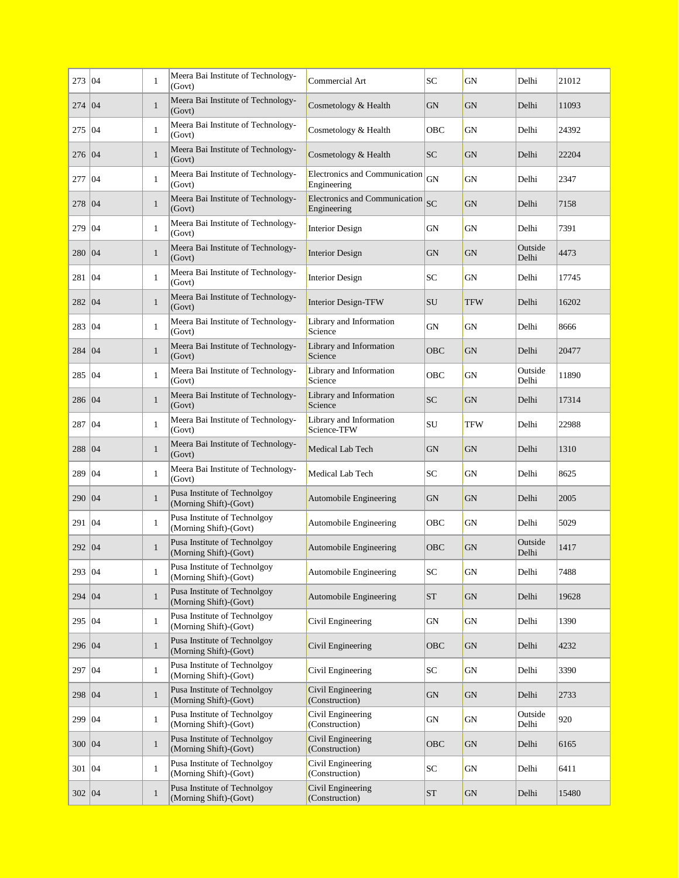| 273 04   |    | $\mathbf{1}$ | Meera Bai Institute of Technology-<br>(Govt)           | Commercial Art                               | SC         | GN         | Delhi            | 21012 |
|----------|----|--------------|--------------------------------------------------------|----------------------------------------------|------------|------------|------------------|-------|
| 274      | 04 | $\mathbf{1}$ | Meera Bai Institute of Technology-<br>(Govt)           | Cosmetology & Health                         | <b>GN</b>  | <b>GN</b>  | Delhi            | 11093 |
| 275      | 04 | $\mathbf{1}$ | Meera Bai Institute of Technology-<br>(Govt)           | Cosmetology & Health                         | OBC        | GN         | Delhi            | 24392 |
| 276 04   |    | $\mathbf{1}$ | Meera Bai Institute of Technology-<br>(Govt)           | Cosmetology & Health                         | <b>SC</b>  | GN         | Delhi            | 22204 |
| 277      | 04 | $\mathbf{1}$ | Meera Bai Institute of Technology-<br>(Govt)           | Electronics and Communication<br>Engineering | GN         | GN         | Delhi            | 2347  |
| 278      | 04 | $\mathbf{1}$ | Meera Bai Institute of Technology-<br>(Govt)           | Electronics and Communication<br>Engineering | <b>SC</b>  | <b>GN</b>  | Delhi            | 7158  |
| 279      | 04 | $\mathbf{1}$ | Meera Bai Institute of Technology-<br>(Govt)           | <b>Interior Design</b>                       | GN         | GN         | Delhi            | 7391  |
| 280   04 |    | $\mathbf{1}$ | Meera Bai Institute of Technology-<br>(Govt)           | <b>Interior Design</b>                       | GN         | <b>GN</b>  | Outside<br>Delhi | 4473  |
| 281      | 04 | $\mathbf{1}$ | Meera Bai Institute of Technology-<br>(Govt)           | <b>Interior Design</b>                       | SC         | GN         | Delhi            | 17745 |
| 282   04 |    | $\mathbf{1}$ | Meera Bai Institute of Technology-<br>(Govt)           | <b>Interior Design-TFW</b>                   | SU         | <b>TFW</b> | Delhi            | 16202 |
| 283      | 04 | $\mathbf{1}$ | Meera Bai Institute of Technology-<br>(Govt)           | Library and Information<br>Science           | GN         | GN         | Delhi            | 8666  |
| 284      | 04 | $\mathbf{1}$ | Meera Bai Institute of Technology-<br>(Govt)           | Library and Information<br>Science           | OBC        | <b>GN</b>  | Delhi            | 20477 |
| 285      | 04 | $\mathbf{1}$ | Meera Bai Institute of Technology-<br>(Govt)           | Library and Information<br>Science           | OBC        | GN         | Outside<br>Delhi | 11890 |
| 286 04   |    | $\mathbf{1}$ | Meera Bai Institute of Technology-<br>(Govt)           | Library and Information<br>Science           | <b>SC</b>  | <b>GN</b>  | Delhi            | 17314 |
| 287      | 04 | $\mathbf{1}$ | Meera Bai Institute of Technology-<br>(Govt)           | Library and Information<br>Science-TFW       | SU         | TFW        | Delhi            | 22988 |
| 288      | 04 | $\mathbf{1}$ | Meera Bai Institute of Technology-<br>(Govt)           | Medical Lab Tech                             | GN         | GN         | Delhi            | 1310  |
| 289      | 04 | $\mathbf{1}$ | Meera Bai Institute of Technology-<br>(Govt)           | Medical Lab Tech                             | SC         | GN         | Delhi            | 8625  |
| 290      | 04 | $\mathbf{1}$ | Pusa Institute of Technolgoy<br>(Morning Shift)-(Govt) | Automobile Engineering                       | GN         | <b>GN</b>  | Delhi            | 2005  |
| 291      | 04 | $\mathbf{1}$ | Pusa Institute of Technolgoy<br>(Morning Shift)-(Govt) | Automobile Engineering                       | OBC        | GN         | Delhi            | 5029  |
| 292 04   |    | $\mathbf{1}$ | Pusa Institute of Technolgoy<br>(Morning Shift)-(Govt) | Automobile Engineering                       | OBC        | GN         | Outside<br>Delhi | 1417  |
| 293 04   |    | 1            | Pusa Institute of Technolgoy<br>(Morning Shift)-(Govt) | Automobile Engineering                       | ${\rm SC}$ | GN         | Delhi            | 7488  |
| 294 04   |    | $\mathbf{1}$ | Pusa Institute of Technolgoy<br>(Morning Shift)-(Govt) | Automobile Engineering                       | ${\rm ST}$ | <b>GN</b>  | Delhi            | 19628 |
| 295 04   |    | $\mathbf{1}$ | Pusa Institute of Technolgov<br>(Morning Shift)-(Govt) | Civil Engineering                            | GN         | GN         | Delhi            | 1390  |
| 296 04   |    | $\mathbf{1}$ | Pusa Institute of Technolgoy<br>(Morning Shift)-(Govt) | Civil Engineering                            | OBC        | GN         | Delhi            | 4232  |
| 297      | 04 | $\mathbf{1}$ | Pusa Institute of Technolgoy<br>(Morning Shift)-(Govt) | Civil Engineering                            | SC         | GN         | Delhi            | 3390  |
| 298      | 04 | $\mathbf{1}$ | Pusa Institute of Technolgoy<br>(Morning Shift)-(Govt) | Civil Engineering<br>(Construction)          | GN         | GN         | Delhi            | 2733  |
| 299   04 |    | $\mathbf{1}$ | Pusa Institute of Technolgoy<br>(Morning Shift)-(Govt) | Civil Engineering<br>(Construction)          | GN         | GN         | Outside<br>Delhi | 920   |
| 300 04   |    | $\mathbf{1}$ | Pusa Institute of Technolgoy<br>(Morning Shift)-(Govt) | Civil Engineering<br>(Construction)          | OBC        | <b>GN</b>  | Delhi            | 6165  |
| 301 04   |    | $\mathbf{1}$ | Pusa Institute of Technolgoy<br>(Morning Shift)-(Govt) | Civil Engineering<br>(Construction)          | SC         | GN         | Delhi            | 6411  |
| 302 04   |    | $\mathbf{1}$ | Pusa Institute of Technolgoy<br>(Morning Shift)-(Govt) | Civil Engineering<br>(Construction)          | <b>ST</b>  | <b>GN</b>  | Delhi            | 15480 |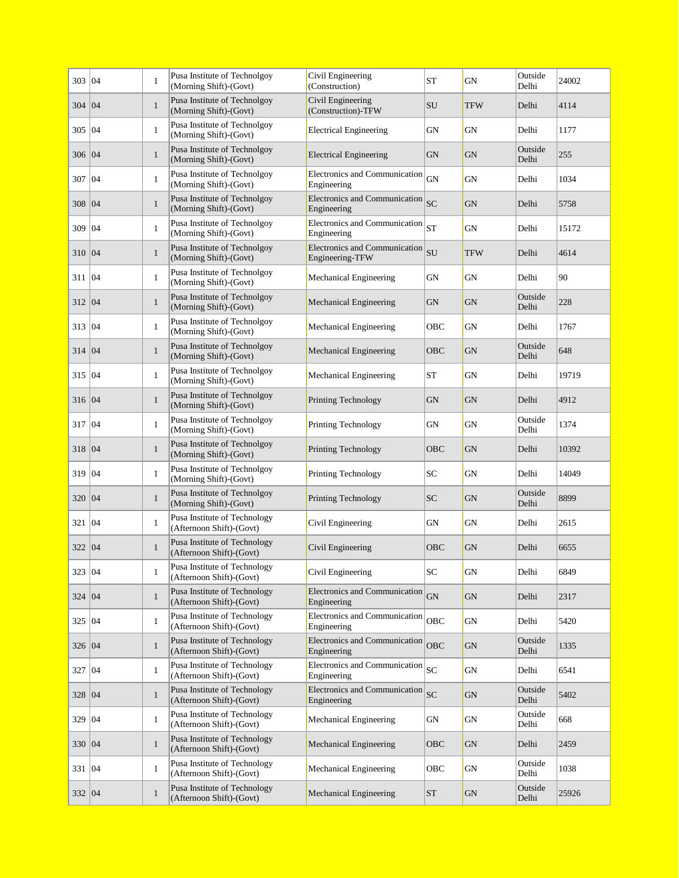| 303      | 04 | $\mathbf{1}$ | Pusa Institute of Technolgoy<br>(Morning Shift)-(Govt)   | Civil Engineering<br>(Construction)              | <b>ST</b>  | GN         | Outside<br>Delhi | 24002 |
|----------|----|--------------|----------------------------------------------------------|--------------------------------------------------|------------|------------|------------------|-------|
| 304      | 04 | $\mathbf{1}$ | Pusa Institute of Technolgoy<br>(Morning Shift)-(Govt)   | Civil Engineering<br>(Construction)-TFW          | <b>SU</b>  | <b>TFW</b> | Delhi            | 4114  |
| 305      | 04 | $\mathbf{1}$ | Pusa Institute of Technolgoy<br>(Morning Shift)-(Govt)   | <b>Electrical Engineering</b>                    | GN         | GN         | Delhi            | 1177  |
| 306      | 04 | $\mathbf{1}$ | Pusa Institute of Technolgoy<br>(Morning Shift)-(Govt)   | <b>Electrical Engineering</b>                    | GN         | <b>GN</b>  | Outside<br>Delhi | 255   |
| 307      | 04 | $\mathbf{1}$ | Pusa Institute of Technolgoy<br>(Morning Shift)-(Govt)   | Electronics and Communication<br>Engineering     | GN         | <b>GN</b>  | Delhi            | 1034  |
| 308      | 04 | $\mathbf{1}$ | Pusa Institute of Technolgoy<br>(Morning Shift)-(Govt)   | Electronics and Communication<br>Engineering     | <b>SC</b>  | <b>GN</b>  | Delhi            | 5758  |
| 309      | 04 | $\mathbf{1}$ | Pusa Institute of Technolgoy<br>(Morning Shift)-(Govt)   | Electronics and Communication<br>Engineering     | <b>ST</b>  | <b>GN</b>  | Delhi            | 15172 |
| 310 04   |    | $\mathbf{1}$ | Pusa Institute of Technolgoy<br>(Morning Shift)-(Govt)   | Electronics and Communication<br>Engineering-TFW | SU         | <b>TFW</b> | Delhi            | 4614  |
| 311      | 04 | $\mathbf{1}$ | Pusa Institute of Technolgoy<br>(Morning Shift)-(Govt)   | Mechanical Engineering                           | <b>GN</b>  | <b>GN</b>  | Delhi            | 90    |
| 312      | 04 | $\mathbf{1}$ | Pusa Institute of Technolgoy<br>(Morning Shift)-(Govt)   | Mechanical Engineering                           | <b>GN</b>  | GN         | Outside<br>Delhi | 228   |
| 313   04 |    | $\mathbf{1}$ | Pusa Institute of Technolgoy<br>(Morning Shift)-(Govt)   | Mechanical Engineering                           | OBC        | GN         | Delhi            | 1767  |
| 314      | 04 | $\mathbf{1}$ | Pusa Institute of Technolgoy<br>(Morning Shift)-(Govt)   | Mechanical Engineering                           | OBC        | <b>GN</b>  | Outside<br>Delhi | 648   |
| 315      | 04 | $\mathbf{1}$ | Pusa Institute of Technolgoy<br>(Morning Shift)-(Govt)   | Mechanical Engineering                           | <b>ST</b>  | GN         | Delhi            | 19719 |
| 316 04   |    | $\mathbf{1}$ | Pusa Institute of Technolgoy<br>(Morning Shift)-(Govt)   | Printing Technology                              | <b>GN</b>  | <b>GN</b>  | Delhi            | 4912  |
| 317      | 04 | $\mathbf{1}$ | Pusa Institute of Technolgoy<br>(Morning Shift)-(Govt)   | Printing Technology                              | <b>GN</b>  | <b>GN</b>  | Outside<br>Delhi | 1374  |
| 318      | 04 | $\mathbf{1}$ | Pusa Institute of Technolgoy<br>(Morning Shift)-(Govt)   | <b>Printing Technology</b>                       | OBC        | <b>GN</b>  | Delhi            | 10392 |
| 319      | 04 | $\mathbf{1}$ | Pusa Institute of Technolgoy<br>(Morning Shift)-(Govt)   | Printing Technology                              | SC         | GN         | Delhi            | 14049 |
| 320      | 04 | $\mathbf{1}$ | Pusa Institute of Technolgoy<br>(Morning Shift)-(Govt)   | Printing Technology                              | <b>SC</b>  | <b>GN</b>  | Outside<br>Delhi | 8899  |
| 321      | 04 | $\mathbf{1}$ | Pusa Institute of Technology<br>(Afternoon Shift)-(Govt) | Civil Engineering                                | GN         | GN         | Delhi            | 2615  |
| 322      | 04 | $\mathbf{1}$ | Pusa Institute of Technology<br>(Afternoon Shift)-(Govt) | Civil Engineering                                | OBC        | GN         | Delhi            | 6655  |
| 323 04   |    | 1            | Pusa Institute of Technology<br>(Afternoon Shift)-(Govt) | Civil Engineering                                | ${\rm SC}$ | ${\rm GN}$ | Delhi            | 6849  |
| 324 04   |    | $\mathbf{1}$ | Pusa Institute of Technology<br>(Afternoon Shift)-(Govt) | Electronics and Communication<br>Engineering     | GN         | <b>GN</b>  | Delhi            | 2317  |
| 325   04 |    | $\mathbf{1}$ | Pusa Institute of Technology<br>(Afternoon Shift)-(Govt) | Electronics and Communication<br>Engineering     | OBC        | GN         | Delhi            | 5420  |
| 326 04   |    | $\mathbf{1}$ | Pusa Institute of Technology<br>(Afternoon Shift)-(Govt) | Electronics and Communication<br>Engineering     | <b>OBC</b> | GN         | Outside<br>Delhi | 1335  |
| 327      | 04 | $\mathbf{1}$ | Pusa Institute of Technology<br>(Afternoon Shift)-(Govt) | Electronics and Communication<br>Engineering     | SC         | GN         | Delhi            | 6541  |
| 328      | 04 | $\mathbf{1}$ | Pusa Institute of Technology<br>(Afternoon Shift)-(Govt) | Electronics and Communication<br>Engineering     | SC         | GN         | Outside<br>Delhi | 5402  |
| 329   04 |    | $\mathbf{1}$ | Pusa Institute of Technology<br>(Afternoon Shift)-(Govt) | Mechanical Engineering                           | ${\rm GN}$ | GN         | Outside<br>Delhi | 668   |
| 330   04 |    | $\mathbf{1}$ | Pusa Institute of Technology<br>(Afternoon Shift)-(Govt) | Mechanical Engineering                           | <b>OBC</b> | GN         | Delhi            | 2459  |
| 331   04 |    | $\mathbf{1}$ | Pusa Institute of Technology<br>(Afternoon Shift)-(Govt) | Mechanical Engineering                           | OBC        | GN         | Outside<br>Delhi | 1038  |
| 332   04 |    | $\mathbf{1}$ | Pusa Institute of Technology<br>(Afternoon Shift)-(Govt) | Mechanical Engineering                           | <b>ST</b>  | <b>GN</b>  | Outside<br>Delhi | 25926 |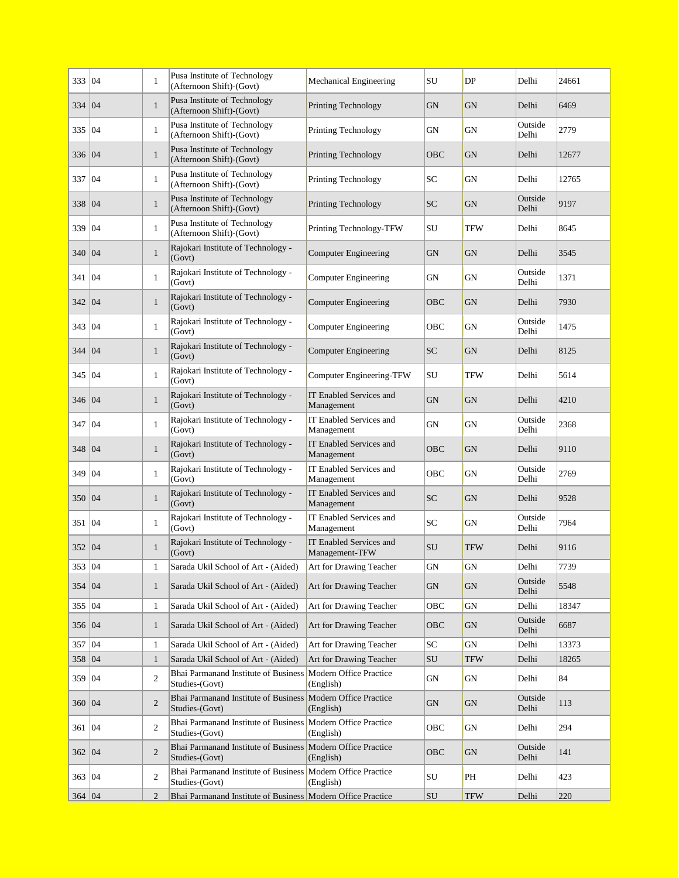| 333   04 |    | 1              | Pusa Institute of Technology<br>(Afternoon Shift)-(Govt)                      | Mechanical Engineering                    | SU                             | DP         | Delhi            | 24661 |
|----------|----|----------------|-------------------------------------------------------------------------------|-------------------------------------------|--------------------------------|------------|------------------|-------|
| 334      | 04 | $\mathbf{1}$   | Pusa Institute of Technology<br>(Afternoon Shift)-(Govt)                      | Printing Technology                       | <b>GN</b>                      | <b>GN</b>  | Delhi            | 6469  |
| 335      | 04 | $\mathbf{1}$   | Pusa Institute of Technology<br>(Afternoon Shift)-(Govt)                      | Printing Technology                       | GN                             | GN         | Outside<br>Delhi | 2779  |
| 336   04 |    | $\mathbf{1}$   | Pusa Institute of Technology<br>(Afternoon Shift)-(Govt)                      | Printing Technology                       | OBC                            | <b>GN</b>  | Delhi            | 12677 |
| 337      | 04 | 1              | Pusa Institute of Technology<br>(Afternoon Shift)-(Govt)                      | Printing Technology                       | SC                             | <b>GN</b>  | Delhi            | 12765 |
| 338      | 04 | $\mathbf{1}$   | Pusa Institute of Technology<br>(Afternoon Shift)-(Govt)                      | Printing Technology                       | <b>SC</b>                      | <b>GN</b>  | Outside<br>Delhi | 9197  |
| 339      | 04 | $\mathbf{1}$   | Pusa Institute of Technology<br>(Afternoon Shift)-(Govt)                      | Printing Technology-TFW                   | SU                             | <b>TFW</b> | Delhi            | 8645  |
| 340 04   |    | $\mathbf{1}$   | Rajokari Institute of Technology -<br>(Govt)                                  | <b>Computer Engineering</b>               | <b>GN</b>                      | <b>GN</b>  | Delhi            | 3545  |
| 341      | 04 | $\mathbf{1}$   | Rajokari Institute of Technology -<br>(Govt)                                  | <b>Computer Engineering</b>               | GN                             | GN         | Outside<br>Delhi | 1371  |
| 342   04 |    | $\mathbf{1}$   | Rajokari Institute of Technology -<br>(Govt)                                  | <b>Computer Engineering</b>               | OBC                            | <b>GN</b>  | Delhi            | 7930  |
| 343      | 04 | $\mathbf{1}$   | Rajokari Institute of Technology -<br>(Govt)                                  | <b>Computer Engineering</b>               | OBC                            | GN         | Outside<br>Delhi | 1475  |
| 344      | 04 | $\mathbf{1}$   | Rajokari Institute of Technology -<br>(Govt)                                  | <b>Computer Engineering</b>               | <b>SC</b>                      | <b>GN</b>  | Delhi            | 8125  |
| 345      | 04 | $\mathbf{1}$   | Rajokari Institute of Technology -<br>(Govt)                                  | Computer Engineering-TFW                  | SU                             | TFW        | Delhi            | 5614  |
| 346 04   |    | $\mathbf{1}$   | Rajokari Institute of Technology -<br>(Govt)                                  | IT Enabled Services and<br>Management     | <b>GN</b>                      | <b>GN</b>  | Delhi            | 4210  |
| 347      | 04 | $\mathbf{1}$   | Rajokari Institute of Technology -<br>(Govt)                                  | IT Enabled Services and<br>Management     | GN                             | <b>GN</b>  | Outside<br>Delhi | 2368  |
| 348      | 04 | $\mathbf{1}$   | Rajokari Institute of Technology -<br>(Govt)                                  | IT Enabled Services and<br>Management     | OBC                            | <b>GN</b>  | Delhi            | 9110  |
| 349   04 |    | $\mathbf{1}$   | Rajokari Institute of Technology -<br>(Govt)                                  | IT Enabled Services and<br>Management     | OBC                            | GN         | Outside<br>Delhi | 2769  |
| 350   04 |    | $\mathbf{1}$   | Rajokari Institute of Technology -<br>(Govt)                                  | IT Enabled Services and<br>Management     | <b>SC</b>                      | GN         | Delhi            | 9528  |
| 351   04 |    | $\mathbf{1}$   | Rajokari Institute of Technology -<br>(Govt)                                  | IT Enabled Services and<br>Management     | SC                             | GN         | Outside<br>Delhi | 7964  |
| 352 04   |    | $\mathbf{1}$   | Rajokari Institute of Technology -<br>(Govt)                                  | IT Enabled Services and<br>Management-TFW | <b>SU</b>                      | <b>TFW</b> | Delhi            | 9116  |
| 353 04   |    | $\mathbf{1}$   | Sarada Ukil School of Art - (Aided)                                           | Art for Drawing Teacher                   | ${\rm GN}$                     | GN         | Delhi            | 7739  |
| 354 04   |    | $\mathbf{1}$   | Sarada Ukil School of Art - (Aided)                                           | Art for Drawing Teacher                   | <b>GN</b>                      | GN         | Outside<br>Delhi | 5548  |
| 355 04   |    | $\mathbf{1}$   | Sarada Ukil School of Art - (Aided)                                           | Art for Drawing Teacher                   | OBC                            | GN         | Delhi            | 18347 |
| 356   04 |    | $\mathbf{1}$   | Sarada Ukil School of Art - (Aided)                                           | Art for Drawing Teacher                   | OBC                            | GN         | Outside<br>Delhi | 6687  |
| 357 04   |    | $\mathbf{1}$   | Sarada Ukil School of Art - (Aided)                                           | Art for Drawing Teacher                   | SC                             | GN         | Delhi            | 13373 |
| 358 04   |    | $\mathbf{1}$   | Sarada Ukil School of Art - (Aided)                                           | Art for Drawing Teacher                   | ${\rm SU}$                     | <b>TFW</b> | Delhi            | 18265 |
| 359   04 |    | $\overline{c}$ | Bhai Parmanand Institute of Business Modern Office Practice<br>Studies-(Govt) | (English)                                 | <b>GN</b>                      | GN         | Delhi            | 84    |
| 360 04   |    | $\overline{2}$ | Bhai Parmanand Institute of Business Modern Office Practice<br>Studies-(Govt) | (English)                                 | GN                             | GN         | Outside<br>Delhi | 113   |
| 361 04   |    | $\overline{c}$ | Bhai Parmanand Institute of Business<br>Studies-(Govt)                        | Modern Office Practice<br>(English)       | OBC                            | GN         | Delhi            | 294   |
| 362 04   |    | $\overline{2}$ | Bhai Parmanand Institute of Business Modern Office Practice<br>Studies-(Govt) | (English)                                 | OBC                            | GN         | Outside<br>Delhi | 141   |
| 363 04   |    | $\mathbf{2}$   | Bhai Parmanand Institute of Business Modern Office Practice<br>Studies-(Govt) | (English)                                 | SU                             | PH         | Delhi            | 423   |
| 364 04   |    | $\mathfrak{D}$ | Rhai Parmanand Institute of Business Modern Office Practice                   |                                           | $SI$ <sub><math>I</math></sub> | <b>TFW</b> | Delhi            | 220   |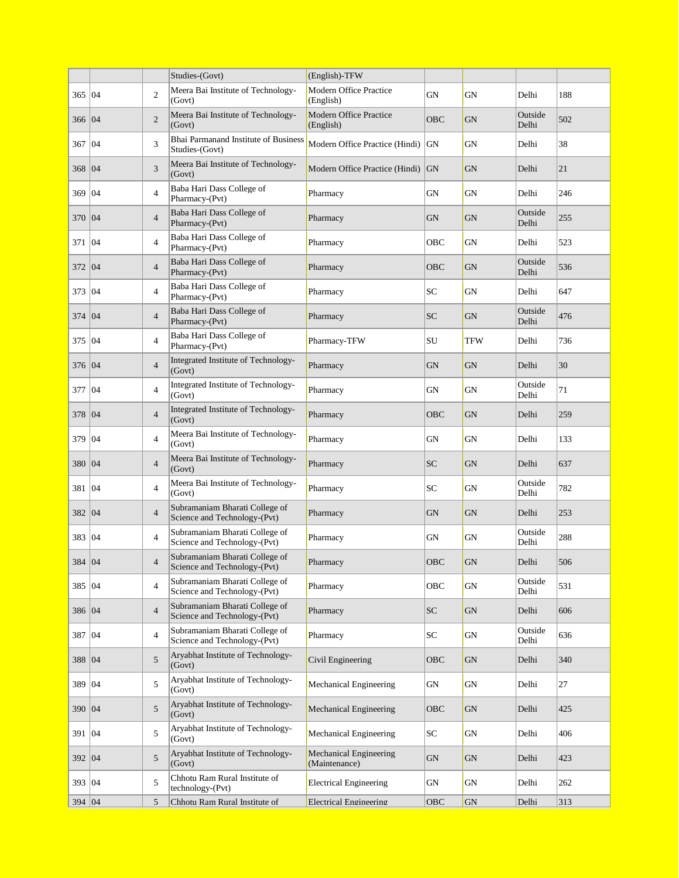|                |    |                 | Studies-(Govt)                                                 | (English)-TFW                                  |           |           |                  |     |
|----------------|----|-----------------|----------------------------------------------------------------|------------------------------------------------|-----------|-----------|------------------|-----|
| 365            | 04 | $\overline{c}$  | Meera Bai Institute of Technology-<br>(Govt)                   | Modern Office Practice<br>(English)            | GN        | GN        | Delhi            | 188 |
| 366 04         |    | $\overline{c}$  | Meera Bai Institute of Technology-<br>(Govt)                   | Modern Office Practice<br>(English)            | OBC       | <b>GN</b> | Outside<br>Delhi | 502 |
| 367            | 04 | 3               | Bhai Parmanand Institute of Business<br>Studies-(Govt)         | Modern Office Practice (Hindi)                 | <b>GN</b> | GN        | Delhi            | 38  |
| 368            | 04 | 3               | Meera Bai Institute of Technology-<br>(Govt)                   | Modern Office Practice (Hindi)                 | <b>GN</b> | <b>GN</b> | Delhi            | 21  |
| 369   04       |    | 4               | Baba Hari Dass College of<br>Pharmacy-(Pvt)                    | Pharmacy                                       | GN        | GN        | Delhi            | 246 |
| 370   04       |    | $\overline{4}$  | Baba Hari Dass College of<br>Pharmacy-(Pvt)                    | Pharmacy                                       | <b>GN</b> | <b>GN</b> | Outside<br>Delhi | 255 |
| 371            | 04 | 4               | Baba Hari Dass College of<br>Pharmacy-(Pvt)                    | Pharmacy                                       | OBC       | <b>GN</b> | Delhi            | 523 |
| 372            | 04 | $\overline{4}$  | Baba Hari Dass College of<br>Pharmacy-(Pvt)                    | Pharmacy                                       | OBC       | <b>GN</b> | Outside<br>Delhi | 536 |
| 373 04         |    | 4               | Baba Hari Dass College of<br>Pharmacy-(Pvt)                    | Pharmacy                                       | <b>SC</b> | <b>GN</b> | Delhi            | 647 |
| 374            | 04 | $\overline{4}$  | Baba Hari Dass College of<br>Pharmacy-(Pvt)                    | Pharmacy                                       | <b>SC</b> | <b>GN</b> | Outside<br>Delhi | 476 |
| 375   04       |    | 4               | Baba Hari Dass College of<br>Pharmacy-(Pvt)                    | Pharmacy-TFW                                   | SU        | TFW       | Delhi            | 736 |
| 376   04       |    | $\overline{4}$  | Integrated Institute of Technology-<br>(Govt)                  | Pharmacy                                       | <b>GN</b> | <b>GN</b> | Delhi            | 30  |
| 377            | 04 | $\overline{4}$  | Integrated Institute of Technology-<br>(Govt)                  | Pharmacy                                       | GN        | GN        | Outside<br>Delhi | 71  |
| 378            | 04 | $\overline{4}$  | Integrated Institute of Technology-<br>(Govt)                  | Pharmacy                                       | OBC       | <b>GN</b> | Delhi            | 259 |
| 379   04       |    | $\overline{4}$  | Meera Bai Institute of Technology-<br>(Govt)                   | Pharmacy                                       | GN        | <b>GN</b> | Delhi            | 133 |
| 380   04       |    | $\overline{4}$  | Meera Bai Institute of Technology-<br>(Govt)                   | Pharmacy                                       | <b>SC</b> | <b>GN</b> | Delhi            | 637 |
| 381            | 04 | $\overline{4}$  | Meera Bai Institute of Technology-<br>(Govt)                   | Pharmacy                                       | SC        | GN        | Outside<br>Delhi | 782 |
| 382   04       |    | $\overline{4}$  | Subramaniam Bharati College of<br>Science and Technology-(Pvt) | Pharmacy                                       | GN        | <b>GN</b> | Delhi            | 253 |
| 383   04       |    | $\overline{4}$  | Subramaniam Bharati College of<br>Science and Technology-(Pvt) | Pharmacy                                       | GN        | GN        | Outside<br>Delhi | 288 |
| 384 04         |    | $\overline{4}$  | Subramaniam Bharati College of<br>Science and Technology-(Pvt) | Pharmacy                                       | OBC       | <b>GN</b> | Delhi            | 506 |
| 385   04       |    | 4               | Subramaniam Bharati College of<br>Science and Technology-(Pvt) | Pharmacy                                       | OBC       | GN        | Outside<br>Delhi | 531 |
| 386 04         |    | $\overline{4}$  | Subramaniam Bharati College of<br>Science and Technology-(Pvt) | Pharmacy                                       | <b>SC</b> | <b>GN</b> | Delhi            | 606 |
| 387            | 04 | 4               | Subramaniam Bharati College of<br>Science and Technology-(Pvt) | Pharmacy                                       | SC        | GN        | Outside<br>Delhi | 636 |
| 388   04       |    | 5               | Aryabhat Institute of Technology-<br>(Govt)                    | Civil Engineering                              | OBC       | GN        | Delhi            | 340 |
| 389 04         |    | 5               | Aryabhat Institute of Technology-<br>(Govt)                    | Mechanical Engineering                         | GN        | GN        | Delhi            | 27  |
| 390 04         |    | 5               | Aryabhat Institute of Technology-<br>(Govt)                    | Mechanical Engineering                         | OBC       | GN        | Delhi            | 425 |
| 391   04       |    | 5               | Aryabhat Institute of Technology-<br>(Govt)                    | Mechanical Engineering                         | SC        | GN        | Delhi            | 406 |
| 392   04       |    | 5               | Aryabhat Institute of Technology-<br>(Govt)                    | <b>Mechanical Engineering</b><br>(Maintenance) | <b>GN</b> | GN        | Delhi            | 423 |
| 393   04       |    | 5               | Chhotu Ram Rural Institute of<br>technology-(Pvt)              | <b>Electrical Engineering</b>                  | GN        | GN        | Delhi            | 262 |
| 394 $\vert$ 04 |    | $5\overline{2}$ | Chhotu Ram Rural Institute of                                  | Electrical Engineering                         | OBC       | GN        | Delhi            | 313 |